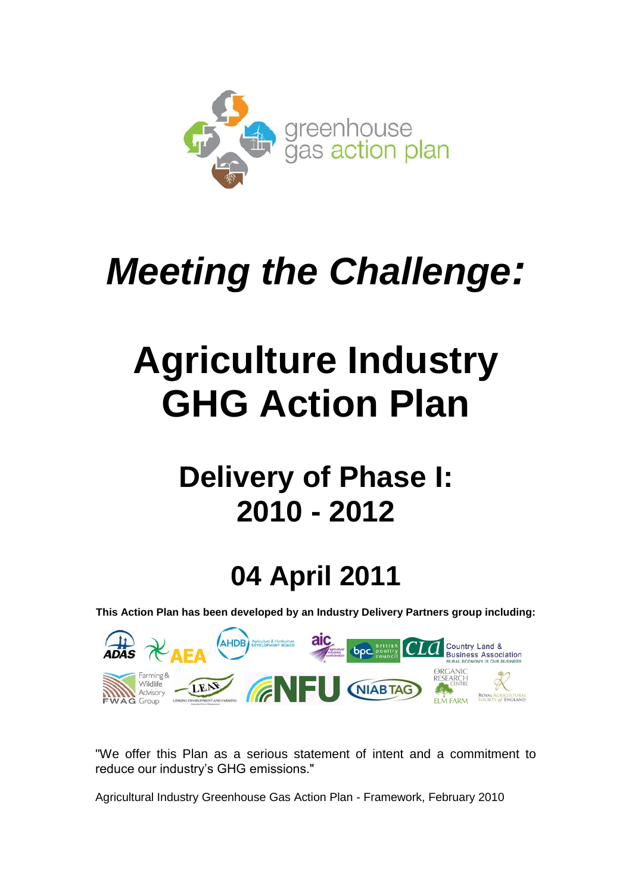

# *Meeting the Challenge:*

# **Agriculture Industry GHG Action Plan**

## **Delivery of Phase I: 2010 - 2012**

## **04 April 2011**

**This Action Plan has been developed by an Industry Delivery Partners group including:** 



"We offer this Plan as a serious statement of intent and a commitment to reduce our industry"s GHG emissions."

Agricultural Industry Greenhouse Gas Action Plan - Framework, February 2010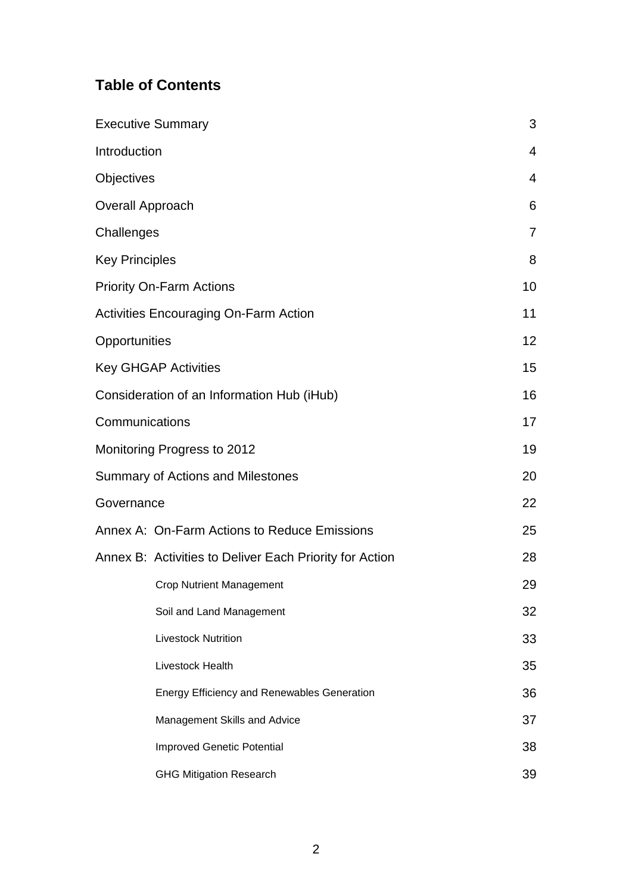## **Table of Contents**

|                       | <b>Executive Summary</b>                                | 3              |
|-----------------------|---------------------------------------------------------|----------------|
| Introduction          |                                                         | $\overline{4}$ |
| Objectives            |                                                         | $\overline{4}$ |
| Overall Approach      |                                                         | 6              |
| Challenges            |                                                         | $\overline{7}$ |
| <b>Key Principles</b> |                                                         | 8              |
|                       | <b>Priority On-Farm Actions</b>                         | 10             |
|                       | <b>Activities Encouraging On-Farm Action</b>            | 11             |
| Opportunities         |                                                         | 12             |
|                       | <b>Key GHGAP Activities</b>                             | 15             |
|                       | Consideration of an Information Hub (iHub)              | 16             |
| Communications        |                                                         | 17             |
|                       | Monitoring Progress to 2012                             | 19             |
|                       | <b>Summary of Actions and Milestones</b>                | 20             |
| Governance            |                                                         | 22             |
|                       | Annex A: On-Farm Actions to Reduce Emissions            | 25             |
|                       | Annex B: Activities to Deliver Each Priority for Action | 28             |
|                       | <b>Crop Nutrient Management</b>                         | 29             |
|                       | Soil and Land Management                                | 32             |
|                       | <b>Livestock Nutrition</b>                              | 33             |
|                       | Livestock Health                                        | 35             |
|                       | <b>Energy Efficiency and Renewables Generation</b>      | 36             |
|                       | Management Skills and Advice                            | 37             |
|                       | <b>Improved Genetic Potential</b>                       | 38             |
|                       | <b>GHG Mitigation Research</b>                          | 39             |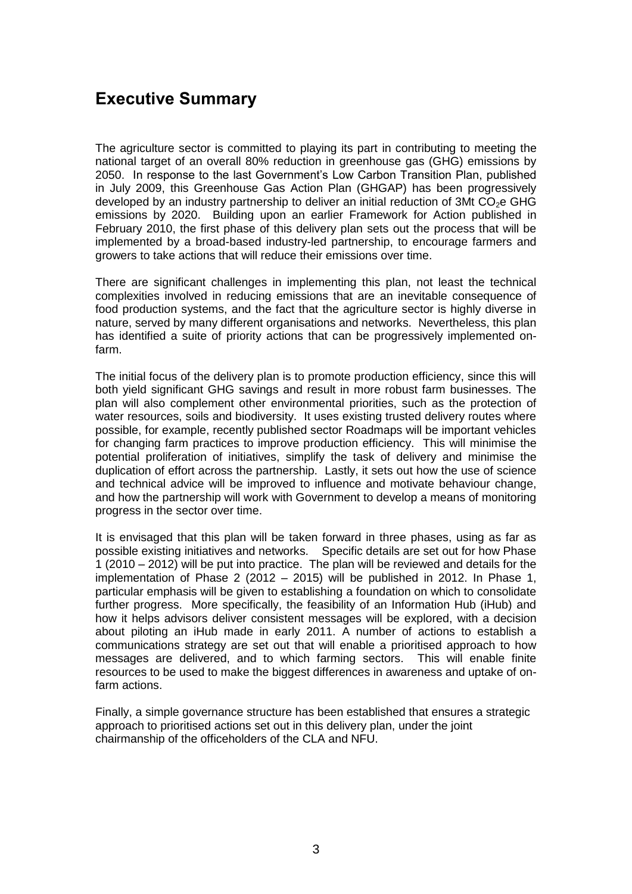## **Executive Summary**

The agriculture sector is committed to playing its part in contributing to meeting the national target of an overall 80% reduction in greenhouse gas (GHG) emissions by 2050. In response to the last Government"s Low Carbon Transition Plan, published in July 2009, this Greenhouse Gas Action Plan (GHGAP) has been progressively developed by an industry partnership to deliver an initial reduction of 3Mt  $CO<sub>2</sub>e$  GHG emissions by 2020. Building upon an earlier Framework for Action published in February 2010, the first phase of this delivery plan sets out the process that will be implemented by a broad-based industry-led partnership, to encourage farmers and growers to take actions that will reduce their emissions over time.

There are significant challenges in implementing this plan, not least the technical complexities involved in reducing emissions that are an inevitable consequence of food production systems, and the fact that the agriculture sector is highly diverse in nature, served by many different organisations and networks. Nevertheless, this plan has identified a suite of priority actions that can be progressively implemented onfarm.

The initial focus of the delivery plan is to promote production efficiency, since this will both yield significant GHG savings and result in more robust farm businesses. The plan will also complement other environmental priorities, such as the protection of water resources, soils and biodiversity. It uses existing trusted delivery routes where possible, for example, recently published sector Roadmaps will be important vehicles for changing farm practices to improve production efficiency. This will minimise the potential proliferation of initiatives, simplify the task of delivery and minimise the duplication of effort across the partnership. Lastly, it sets out how the use of science and technical advice will be improved to influence and motivate behaviour change, and how the partnership will work with Government to develop a means of monitoring progress in the sector over time.

It is envisaged that this plan will be taken forward in three phases, using as far as possible existing initiatives and networks. Specific details are set out for how Phase 1 (2010 – 2012) will be put into practice. The plan will be reviewed and details for the implementation of Phase 2 (2012 – 2015) will be published in 2012. In Phase 1, particular emphasis will be given to establishing a foundation on which to consolidate further progress. More specifically, the feasibility of an Information Hub (iHub) and how it helps advisors deliver consistent messages will be explored, with a decision about piloting an iHub made in early 2011. A number of actions to establish a communications strategy are set out that will enable a prioritised approach to how messages are delivered, and to which farming sectors. This will enable finite resources to be used to make the biggest differences in awareness and uptake of onfarm actions.

Finally, a simple governance structure has been established that ensures a strategic approach to prioritised actions set out in this delivery plan, under the joint chairmanship of the officeholders of the CLA and NFU.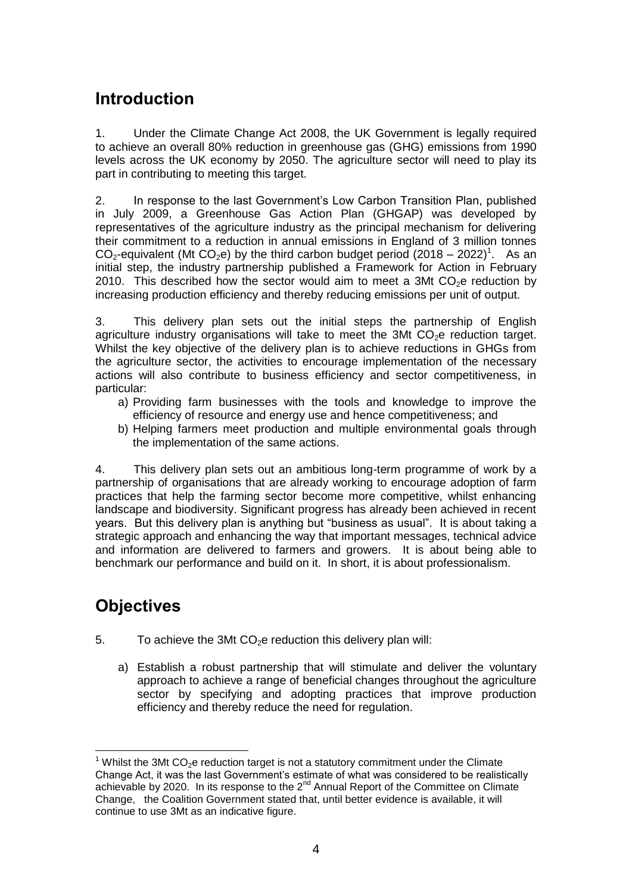## **Introduction**

1. Under the Climate Change Act 2008, the UK Government is legally required to achieve an overall 80% reduction in greenhouse gas (GHG) emissions from 1990 levels across the UK economy by 2050. The agriculture sector will need to play its part in contributing to meeting this target.

2. In response to the last Government"s Low Carbon Transition Plan, published in July 2009, a Greenhouse Gas Action Plan (GHGAP) was developed by representatives of the agriculture industry as the principal mechanism for delivering their commitment to a reduction in annual emissions in England of 3 million tonnes  $CO_2$ -equivalent (Mt  $CO_2$ e) by the third carbon budget period (2018 – 2022)<sup>1</sup>. As an initial step, the industry partnership published a Framework for Action in February 2010. This described how the sector would aim to meet a 3Mt  $CO<sub>2</sub>e$  reduction by increasing production efficiency and thereby reducing emissions per unit of output.

3. This delivery plan sets out the initial steps the partnership of English agriculture industry organisations will take to meet the  $3Mt$  CO<sub>2</sub>e reduction target. Whilst the key objective of the delivery plan is to achieve reductions in GHGs from the agriculture sector, the activities to encourage implementation of the necessary actions will also contribute to business efficiency and sector competitiveness, in particular:

- a) Providing farm businesses with the tools and knowledge to improve the efficiency of resource and energy use and hence competitiveness; and
- b) Helping farmers meet production and multiple environmental goals through the implementation of the same actions.

4. This delivery plan sets out an ambitious long-term programme of work by a partnership of organisations that are already working to encourage adoption of farm practices that help the farming sector become more competitive, whilst enhancing landscape and biodiversity. Significant progress has already been achieved in recent years. But this delivery plan is anything but "business as usual". It is about taking a strategic approach and enhancing the way that important messages, technical advice and information are delivered to farmers and growers. It is about being able to benchmark our performance and build on it. In short, it is about professionalism.

## **Objectives**

- 5. To achieve the 3Mt  $CO<sub>2</sub>e$  reduction this delivery plan will:
	- a) Establish a robust partnership that will stimulate and deliver the voluntary approach to achieve a range of beneficial changes throughout the agriculture sector by specifying and adopting practices that improve production efficiency and thereby reduce the need for regulation.

l  $1$  Whilst the 3Mt CO<sub>2</sub>e reduction target is not a statutory commitment under the Climate Change Act, it was the last Government"s estimate of what was considered to be realistically achievable by 2020. In its response to the 2<sup>nd</sup> Annual Report of the Committee on Climate Change, the Coalition Government stated that, until better evidence is available, it will continue to use 3Mt as an indicative figure.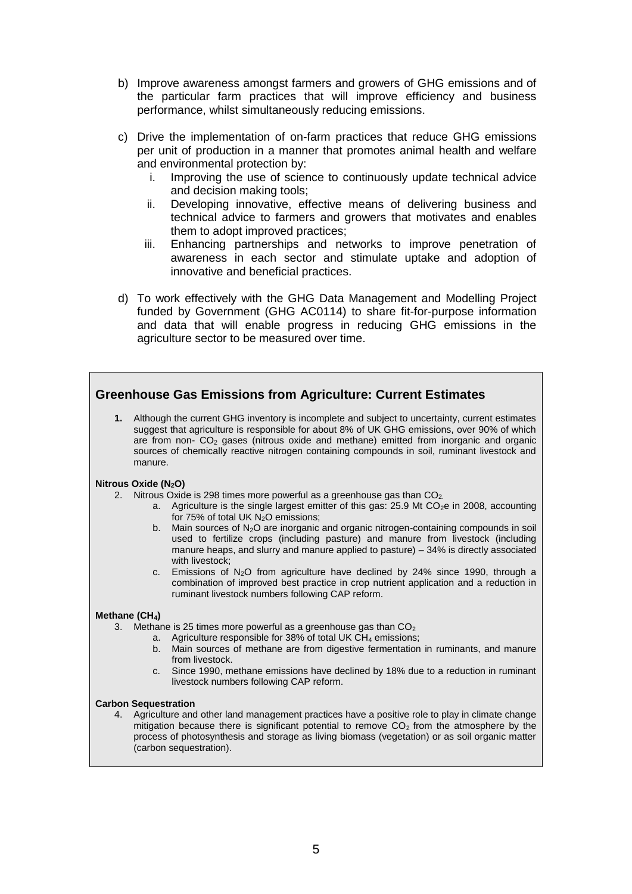- b) Improve awareness amongst farmers and growers of GHG emissions and of the particular farm practices that will improve efficiency and business performance, whilst simultaneously reducing emissions.
- c) Drive the implementation of on-farm practices that reduce GHG emissions per unit of production in a manner that promotes animal health and welfare and environmental protection by:
	- i. Improving the use of science to continuously update technical advice and decision making tools;
	- ii. Developing innovative, effective means of delivering business and technical advice to farmers and growers that motivates and enables them to adopt improved practices;
	- iii. Enhancing partnerships and networks to improve penetration of awareness in each sector and stimulate uptake and adoption of innovative and beneficial practices.
- d) To work effectively with the GHG Data Management and Modelling Project funded by Government (GHG AC0114) to share fit-for-purpose information and data that will enable progress in reducing GHG emissions in the agriculture sector to be measured over time.

#### **Greenhouse Gas Emissions from Agriculture: Current Estimates**

**1.** Although the current GHG inventory is incomplete and subject to uncertainty, current estimates suggest that agriculture is responsible for about 8% of UK GHG emissions, over 90% of which are from non- CO<sup>2</sup> gases (nitrous oxide and methane) emitted from inorganic and organic sources of chemically reactive nitrogen containing compounds in soil, ruminant livestock and manure.

#### **Nitrous Oxide (N2O)**

- 2. Nitrous Oxide is 298 times more powerful as a greenhouse gas than  $CO<sub>2</sub>$ .
	- a. Agriculture is the single largest emitter of this gas:  $25.9$  Mt  $CO<sub>2</sub>e$  in 2008, accounting for 75% of total UK  $N_2O$  emissions;
	- b. Main sources of  $N_2$ O are inorganic and organic nitrogen-containing compounds in soil used to fertilize crops (including pasture) and manure from livestock (including manure heaps, and slurry and manure applied to pasture) – 34% is directly associated with livestock;
	- c. Emissions of  $N_2O$  from agriculture have declined by 24% since 1990, through a combination of improved best practice in crop nutrient application and a reduction in ruminant livestock numbers following CAP reform.

#### **Methane (CH4)**

- 3. Methane is 25 times more powerful as a greenhouse gas than  $CO<sub>2</sub>$ 
	- a. Agriculture responsible for 38% of total UK CH<sub>4</sub> emissions;
	- b. Main sources of methane are from digestive fermentation in ruminants, and manure from livestock.
	- c. Since 1990, methane emissions have declined by 18% due to a reduction in ruminant livestock numbers following CAP reform.

#### **Carbon Sequestration**

4. Agriculture and other land management practices have a positive role to play in climate change mitigation because there is significant potential to remove  $CO<sub>2</sub>$  from the atmosphere by the process of photosynthesis and storage as living biomass (vegetation) or as soil organic matter (carbon sequestration).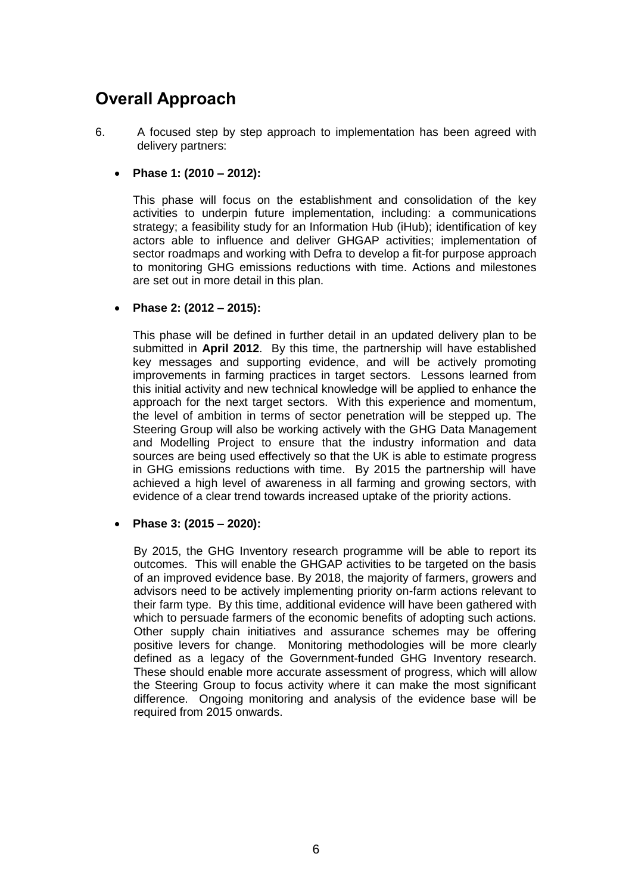## **Overall Approach**

6. A focused step by step approach to implementation has been agreed with delivery partners:

#### **Phase 1: (2010 – 2012):**

This phase will focus on the establishment and consolidation of the key activities to underpin future implementation, including: a communications strategy; a feasibility study for an Information Hub (iHub); identification of key actors able to influence and deliver GHGAP activities; implementation of sector roadmaps and working with Defra to develop a fit-for purpose approach to monitoring GHG emissions reductions with time. Actions and milestones are set out in more detail in this plan.

#### **Phase 2: (2012 – 2015):**

This phase will be defined in further detail in an updated delivery plan to be submitted in **April 2012**. By this time, the partnership will have established key messages and supporting evidence, and will be actively promoting improvements in farming practices in target sectors. Lessons learned from this initial activity and new technical knowledge will be applied to enhance the approach for the next target sectors. With this experience and momentum, the level of ambition in terms of sector penetration will be stepped up. The Steering Group will also be working actively with the GHG Data Management and Modelling Project to ensure that the industry information and data sources are being used effectively so that the UK is able to estimate progress in GHG emissions reductions with time. By 2015 the partnership will have achieved a high level of awareness in all farming and growing sectors, with evidence of a clear trend towards increased uptake of the priority actions.

#### **Phase 3: (2015 – 2020):**

By 2015, the GHG Inventory research programme will be able to report its outcomes. This will enable the GHGAP activities to be targeted on the basis of an improved evidence base. By 2018, the majority of farmers, growers and advisors need to be actively implementing priority on-farm actions relevant to their farm type. By this time, additional evidence will have been gathered with which to persuade farmers of the economic benefits of adopting such actions. Other supply chain initiatives and assurance schemes may be offering positive levers for change. Monitoring methodologies will be more clearly defined as a legacy of the Government-funded GHG Inventory research. These should enable more accurate assessment of progress, which will allow the Steering Group to focus activity where it can make the most significant difference. Ongoing monitoring and analysis of the evidence base will be required from 2015 onwards.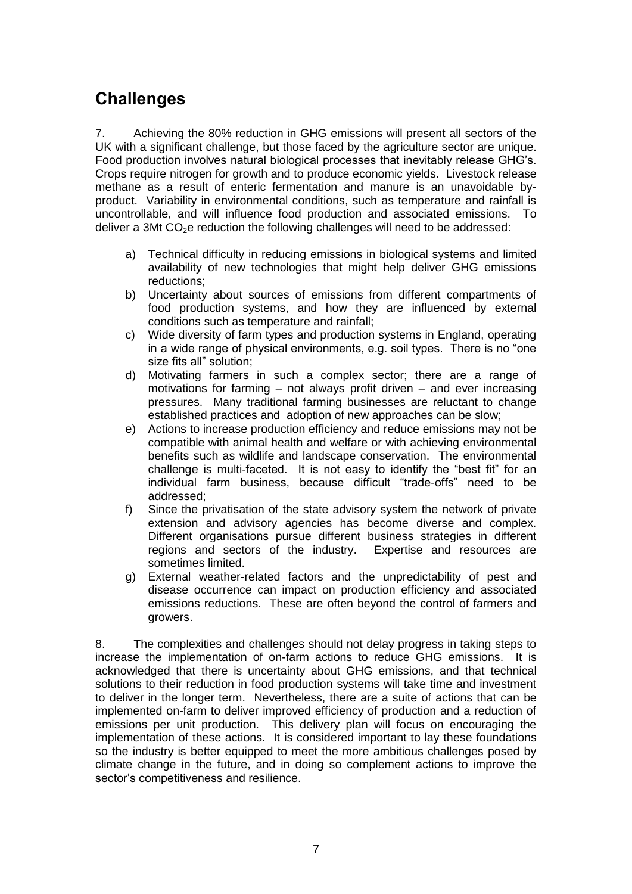## **Challenges**

7. Achieving the 80% reduction in GHG emissions will present all sectors of the UK with a significant challenge, but those faced by the agriculture sector are unique. Food production involves natural biological processes that inevitably release GHG"s. Crops require nitrogen for growth and to produce economic yields. Livestock release methane as a result of enteric fermentation and manure is an unavoidable byproduct. Variability in environmental conditions, such as temperature and rainfall is uncontrollable, and will influence food production and associated emissions. To deliver a 3Mt CO<sub>2</sub>e reduction the following challenges will need to be addressed:

- a) Technical difficulty in reducing emissions in biological systems and limited availability of new technologies that might help deliver GHG emissions reductions;
- b) Uncertainty about sources of emissions from different compartments of food production systems, and how they are influenced by external conditions such as temperature and rainfall;
- c) Wide diversity of farm types and production systems in England, operating in a wide range of physical environments, e.g. soil types. There is no "one size fits all" solution;
- d) Motivating farmers in such a complex sector; there are a range of motivations for farming – not always profit driven – and ever increasing pressures. Many traditional farming businesses are reluctant to change established practices and adoption of new approaches can be slow;
- e) Actions to increase production efficiency and reduce emissions may not be compatible with animal health and welfare or with achieving environmental benefits such as wildlife and landscape conservation. The environmental challenge is multi-faceted. It is not easy to identify the "best fit" for an individual farm business, because difficult "trade-offs" need to be addressed;
- f) Since the privatisation of the state advisory system the network of private extension and advisory agencies has become diverse and complex. Different organisations pursue different business strategies in different regions and sectors of the industry. Expertise and resources are sometimes limited.
- g) External weather-related factors and the unpredictability of pest and disease occurrence can impact on production efficiency and associated emissions reductions. These are often beyond the control of farmers and growers.

8. The complexities and challenges should not delay progress in taking steps to increase the implementation of on-farm actions to reduce GHG emissions. It is acknowledged that there is uncertainty about GHG emissions, and that technical solutions to their reduction in food production systems will take time and investment to deliver in the longer term. Nevertheless, there are a suite of actions that can be implemented on-farm to deliver improved efficiency of production and a reduction of emissions per unit production. This delivery plan will focus on encouraging the implementation of these actions. It is considered important to lay these foundations so the industry is better equipped to meet the more ambitious challenges posed by climate change in the future, and in doing so complement actions to improve the sector"s competitiveness and resilience.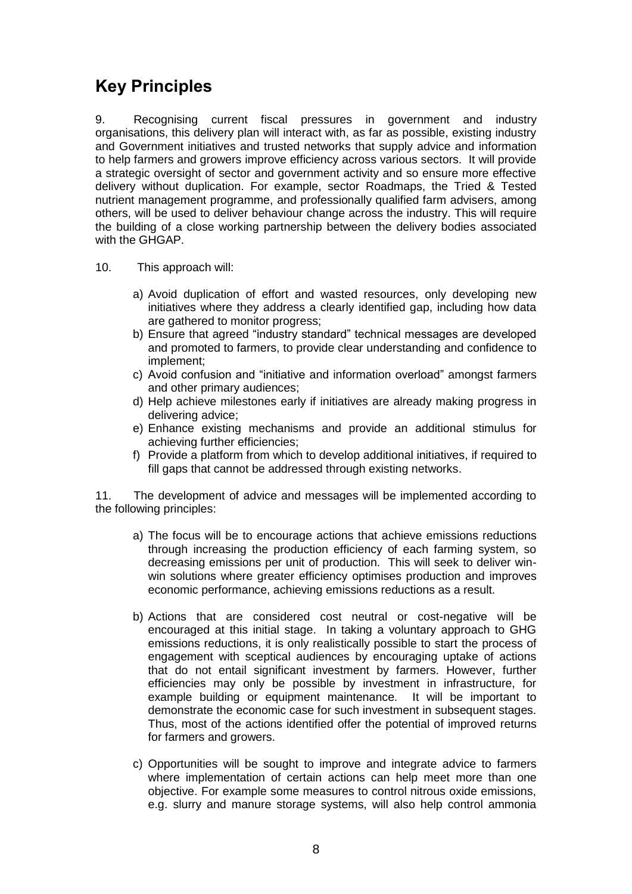## **Key Principles**

9. Recognising current fiscal pressures in government and industry organisations, this delivery plan will interact with, as far as possible, existing industry and Government initiatives and trusted networks that supply advice and information to help farmers and growers improve efficiency across various sectors. It will provide a strategic oversight of sector and government activity and so ensure more effective delivery without duplication. For example, sector Roadmaps, the Tried & Tested nutrient management programme, and professionally qualified farm advisers, among others, will be used to deliver behaviour change across the industry. This will require the building of a close working partnership between the delivery bodies associated with the GHGAP.

- 10. This approach will:
	- a) Avoid duplication of effort and wasted resources, only developing new initiatives where they address a clearly identified gap, including how data are gathered to monitor progress;
	- b) Ensure that agreed "industry standard" technical messages are developed and promoted to farmers, to provide clear understanding and confidence to implement;
	- c) Avoid confusion and "initiative and information overload" amongst farmers and other primary audiences;
	- d) Help achieve milestones early if initiatives are already making progress in delivering advice;
	- e) Enhance existing mechanisms and provide an additional stimulus for achieving further efficiencies;
	- f) Provide a platform from which to develop additional initiatives, if required to fill gaps that cannot be addressed through existing networks.

11. The development of advice and messages will be implemented according to the following principles:

- a) The focus will be to encourage actions that achieve emissions reductions through increasing the production efficiency of each farming system, so decreasing emissions per unit of production. This will seek to deliver winwin solutions where greater efficiency optimises production and improves economic performance, achieving emissions reductions as a result.
- b) Actions that are considered cost neutral or cost-negative will be encouraged at this initial stage. In taking a voluntary approach to GHG emissions reductions, it is only realistically possible to start the process of engagement with sceptical audiences by encouraging uptake of actions that do not entail significant investment by farmers. However, further efficiencies may only be possible by investment in infrastructure, for example building or equipment maintenance. It will be important to demonstrate the economic case for such investment in subsequent stages. Thus, most of the actions identified offer the potential of improved returns for farmers and growers.
- c) Opportunities will be sought to improve and integrate advice to farmers where implementation of certain actions can help meet more than one objective. For example some measures to control nitrous oxide emissions, e.g. slurry and manure storage systems, will also help control ammonia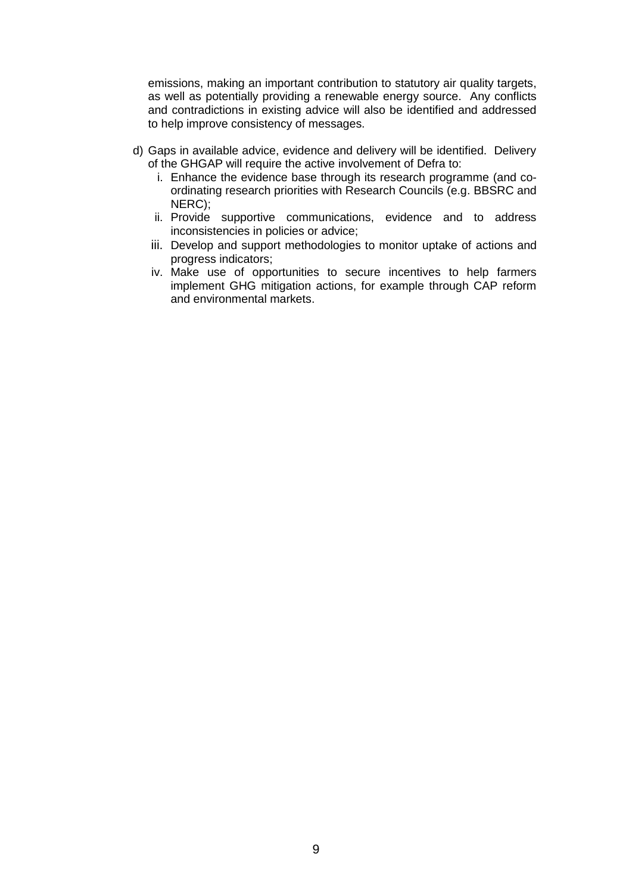emissions, making an important contribution to statutory air quality targets, as well as potentially providing a renewable energy source. Any conflicts and contradictions in existing advice will also be identified and addressed to help improve consistency of messages.

- d) Gaps in available advice, evidence and delivery will be identified. Delivery of the GHGAP will require the active involvement of Defra to:
	- i. Enhance the evidence base through its research programme (and coordinating research priorities with Research Councils (e.g. BBSRC and NERC);
	- ii. Provide supportive communications, evidence and to address inconsistencies in policies or advice;
	- iii. Develop and support methodologies to monitor uptake of actions and progress indicators;
	- iv. Make use of opportunities to secure incentives to help farmers implement GHG mitigation actions, for example through CAP reform and environmental markets.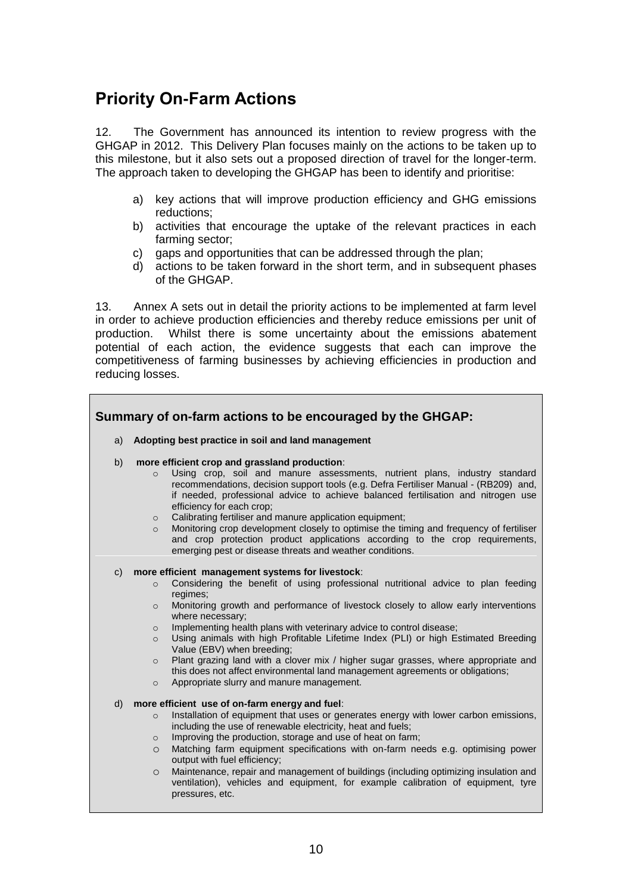## **Priority On-Farm Actions**

12. The Government has announced its intention to review progress with the GHGAP in 2012. This Delivery Plan focuses mainly on the actions to be taken up to this milestone, but it also sets out a proposed direction of travel for the longer-term. The approach taken to developing the GHGAP has been to identify and prioritise:

- a) key actions that will improve production efficiency and GHG emissions reductions;
- b) activities that encourage the uptake of the relevant practices in each farming sector;
- c) gaps and opportunities that can be addressed through the plan;
- d) actions to be taken forward in the short term, and in subsequent phases of the GHGAP.

13. Annex A sets out in detail the priority actions to be implemented at farm level in order to achieve production efficiencies and thereby reduce emissions per unit of production. Whilst there is some uncertainty about the emissions abatement potential of each action, the evidence suggests that each can improve the competitiveness of farming businesses by achieving efficiencies in production and reducing losses.

|                | Summary of on-farm actions to be encouraged by the GHGAP:                                                                                                                                                                                                                                                                                                                                                                                                                                                                                                                                                                                                                                                                                     |
|----------------|-----------------------------------------------------------------------------------------------------------------------------------------------------------------------------------------------------------------------------------------------------------------------------------------------------------------------------------------------------------------------------------------------------------------------------------------------------------------------------------------------------------------------------------------------------------------------------------------------------------------------------------------------------------------------------------------------------------------------------------------------|
| a)             | Adopting best practice in soil and land management                                                                                                                                                                                                                                                                                                                                                                                                                                                                                                                                                                                                                                                                                            |
| b)             | more efficient crop and grassland production:<br>Using crop, soil and manure assessments, nutrient plans, industry standard<br>$\Omega$<br>recommendations, decision support tools (e.g. Defra Fertiliser Manual - (RB209) and,<br>if needed, professional advice to achieve balanced fertilisation and nitrogen use<br>efficiency for each crop;<br>Calibrating fertiliser and manure application equipment;<br>$\circ$<br>Monitoring crop development closely to optimise the timing and frequency of fertiliser<br>$\circ$<br>and crop protection product applications according to the crop requirements,<br>emerging pest or disease threats and weather conditions.                                                                     |
| $\mathsf{C}$ ) | more efficient management systems for livestock:<br>Considering the benefit of using professional nutritional advice to plan feeding<br>$\circ$<br>regimes;<br>Monitoring growth and performance of livestock closely to allow early interventions<br>$\circ$<br>where necessary;<br>Implementing health plans with veterinary advice to control disease;<br>$\circ$<br>Using animals with high Profitable Lifetime Index (PLI) or high Estimated Breeding<br>$\circ$<br>Value (EBV) when breeding;<br>Plant grazing land with a clover mix / higher sugar grasses, where appropriate and<br>$\circ$<br>this does not affect environmental land management agreements or obligations;<br>Appropriate slurry and manure management.<br>$\circ$ |
| $\mathsf{d}$   | more efficient use of on-farm energy and fuel:<br>Installation of equipment that uses or generates energy with lower carbon emissions,<br>$\circ$<br>including the use of renewable electricity, heat and fuels;<br>Improving the production, storage and use of heat on farm;<br>$\circ$<br>Matching farm equipment specifications with on-farm needs e.g. optimising power<br>$\circ$<br>output with fuel efficiency;<br>Maintenance, repair and management of buildings (including optimizing insulation and<br>$\circ$<br>ventilation), vehicles and equipment, for example calibration of equipment, tyre                                                                                                                                |

pressures, etc.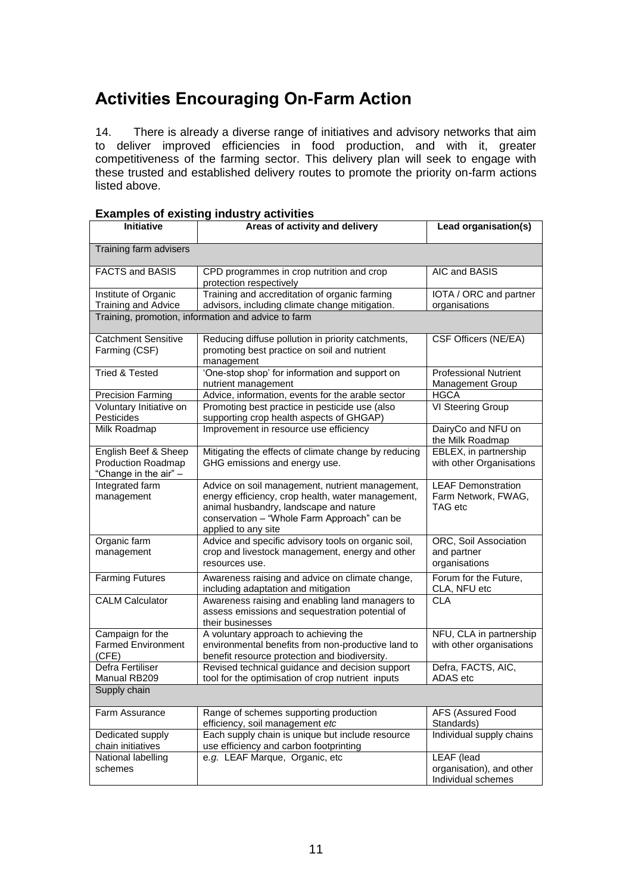## **Activities Encouraging On-Farm Action**

14. There is already a diverse range of initiatives and advisory networks that aim to deliver improved efficiencies in food production, and with it, greater competitiveness of the farming sector. This delivery plan will seek to engage with these trusted and established delivery routes to promote the priority on-farm actions listed above.

| <b>Initiative</b>                                                          | Areas of activity and delivery                                                                                                                                                                                       | Lead organisation(s)                                                |
|----------------------------------------------------------------------------|----------------------------------------------------------------------------------------------------------------------------------------------------------------------------------------------------------------------|---------------------------------------------------------------------|
| Training farm advisers                                                     |                                                                                                                                                                                                                      |                                                                     |
| <b>FACTS and BASIS</b>                                                     | CPD programmes in crop nutrition and crop<br>protection respectively                                                                                                                                                 | AIC and BASIS                                                       |
| Institute of Organic<br>Training and Advice                                | Training and accreditation of organic farming<br>advisors, including climate change mitigation.                                                                                                                      | IOTA / ORC and partner<br>organisations                             |
|                                                                            | Training, promotion, information and advice to farm                                                                                                                                                                  |                                                                     |
| <b>Catchment Sensitive</b><br>Farming (CSF)                                | Reducing diffuse pollution in priority catchments,<br>promoting best practice on soil and nutrient<br>management                                                                                                     | CSF Officers (NE/EA)                                                |
| <b>Tried &amp; Tested</b>                                                  | 'One-stop shop' for information and support on<br>nutrient management                                                                                                                                                | Professional Nutrient<br><b>Management Group</b>                    |
| <b>Precision Farming</b>                                                   | Advice, information, events for the arable sector                                                                                                                                                                    | <b>HGCA</b>                                                         |
| Voluntary Initiative on<br>Pesticides                                      | Promoting best practice in pesticide use (also<br>supporting crop health aspects of GHGAP)                                                                                                                           | VI Steering Group                                                   |
| Milk Roadmap                                                               | Improvement in resource use efficiency                                                                                                                                                                               | DairyCo and NFU on<br>the Milk Roadmap                              |
| English Beef & Sheep<br><b>Production Roadmap</b><br>"Change in the air" - | Mitigating the effects of climate change by reducing<br>GHG emissions and energy use.                                                                                                                                | EBLEX, in partnership<br>with other Organisations                   |
| Integrated farm<br>management                                              | Advice on soil management, nutrient management,<br>energy efficiency, crop health, water management,<br>animal husbandry, landscape and nature<br>conservation - "Whole Farm Approach" can be<br>applied to any site | <b>LEAF Demonstration</b><br>Farm Network, FWAG,<br>TAG etc         |
| Organic farm<br>management                                                 | Advice and specific advisory tools on organic soil,<br>crop and livestock management, energy and other<br>resources use.                                                                                             | ORC, Soil Association<br>and partner<br>organisations               |
| <b>Farming Futures</b>                                                     | Awareness raising and advice on climate change,<br>including adaptation and mitigation                                                                                                                               | Forum for the Future,<br>CLA, NFU etc                               |
| <b>CALM Calculator</b>                                                     | Awareness raising and enabling land managers to<br>assess emissions and sequestration potential of<br>their businesses                                                                                               | <b>CLA</b>                                                          |
| Campaign for the<br><b>Farmed Environment</b><br>(CFE)                     | A voluntary approach to achieving the<br>environmental benefits from non-productive land to<br>benefit resource protection and biodiversity.                                                                         | NFU, CLA in partnership<br>with other organisations                 |
| Defra Fertiliser<br>Manual RB209                                           | Revised technical guidance and decision support<br>tool for the optimisation of crop nutrient inputs                                                                                                                 | Defra, FACTS, AIC,<br>ADAS etc                                      |
| Supply chain                                                               |                                                                                                                                                                                                                      |                                                                     |
| Farm Assurance                                                             | Range of schemes supporting production<br>efficiency, soil management etc                                                                                                                                            | AFS (Assured Food<br>Standards)                                     |
| Dedicated supply<br>chain initiatives                                      | Each supply chain is unique but include resource<br>use efficiency and carbon footprinting                                                                                                                           | Individual supply chains                                            |
| National labelling<br>schemes                                              | e.g. LEAF Marque, Organic, etc                                                                                                                                                                                       | <b>LEAF</b> (lead<br>organisation), and other<br>Individual schemes |

#### **Examples of existing industry activities**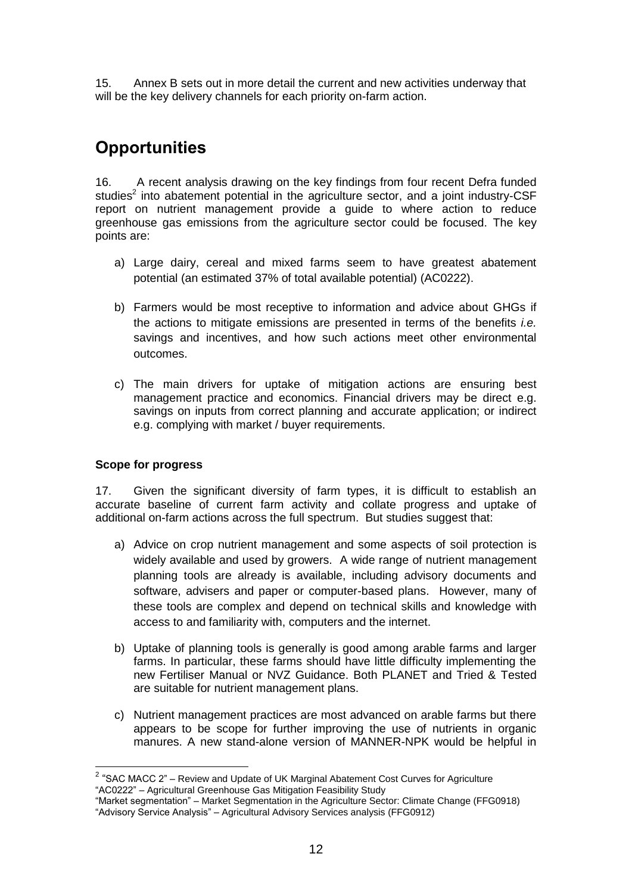15. Annex B sets out in more detail the current and new activities underway that will be the key delivery channels for each priority on-farm action.

## **Opportunities**

16. A recent analysis drawing on the key findings from four recent Defra funded studies $2$  into abatement potential in the agriculture sector, and a joint industry-CSF report on nutrient management provide a guide to where action to reduce greenhouse gas emissions from the agriculture sector could be focused. The key points are:

- a) Large dairy, cereal and mixed farms seem to have greatest abatement potential (an estimated 37% of total available potential) (AC0222).
- b) Farmers would be most receptive to information and advice about GHGs if the actions to mitigate emissions are presented in terms of the benefits *i.e.*  savings and incentives, and how such actions meet other environmental outcomes.
- c) The main drivers for uptake of mitigation actions are ensuring best management practice and economics. Financial drivers may be direct e.g. savings on inputs from correct planning and accurate application; or indirect e.g. complying with market / buyer requirements.

#### **Scope for progress**

17. Given the significant diversity of farm types, it is difficult to establish an accurate baseline of current farm activity and collate progress and uptake of additional on-farm actions across the full spectrum. But studies suggest that:

- a) Advice on crop nutrient management and some aspects of soil protection is widely available and used by growers. A wide range of nutrient management planning tools are already is available, including advisory documents and software, advisers and paper or computer-based plans. However, many of these tools are complex and depend on technical skills and knowledge with access to and familiarity with, computers and the internet.
- b) Uptake of planning tools is generally is good among arable farms and larger farms. In particular, these farms should have little difficulty implementing the new Fertiliser Manual or NVZ Guidance. Both PLANET and Tried & Tested are suitable for nutrient management plans.
- c) Nutrient management practices are most advanced on arable farms but there appears to be scope for further improving the use of nutrients in organic manures. A new stand-alone version of MANNER-NPK would be helpful in

 2 "SAC MACC 2" – Review and Update of UK Marginal Abatement Cost Curves for Agriculture "AC0222" – Agricultural Greenhouse Gas Mitigation Feasibility Study

<sup>&</sup>quot;Market segmentation" – Market Segmentation in the Agriculture Sector: Climate Change (FFG0918) "Advisory Service Analysis" – Agricultural Advisory Services analysis (FFG0912)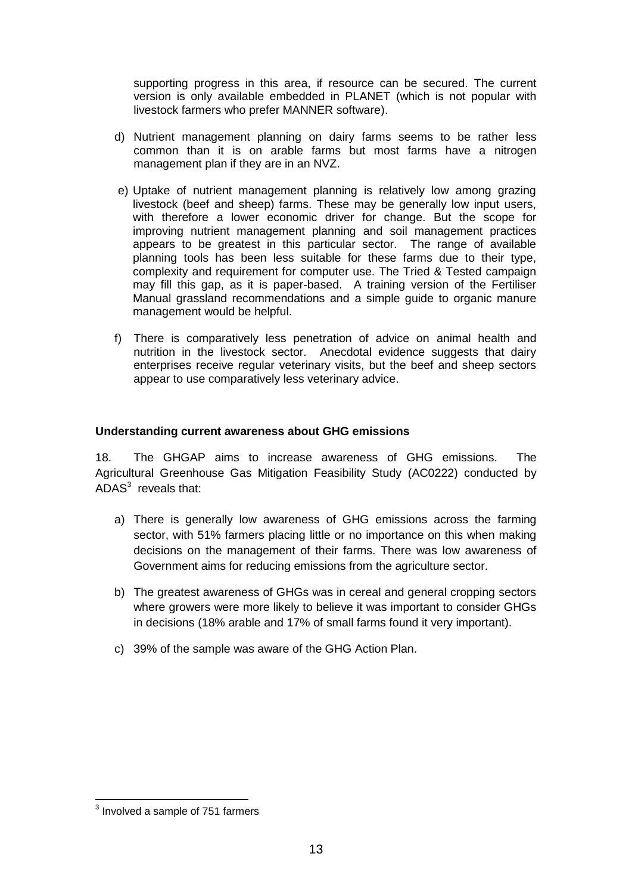supporting progress in this area, if resource can be secured. The current version is only available embedded in PLANET (which is not popular with livestock farmers who prefer MANNER software).

- d) Nutrient management planning on dairy farms seems to be rather less common than it is on arable farms but most farms have a nitrogen management plan if they are in an NVZ.
- e) Uptake of nutrient management planning is relatively low among grazing livestock (beef and sheep) farms. These may be generally low input users, with therefore a lower economic driver for change. But the scope for improving nutrient management planning and soil management practices appears to be greatest in this particular sector. The range of available planning tools has been less suitable for these farms due to their type, complexity and requirement for computer use. The Tried & Tested campaign may fill this gap, as it is paper-based. A training version of the Fertiliser Manual grassland recommendations and a simple guide to organic manure management would be helpful.
- f) There is comparatively less penetration of advice on animal health and nutrition in the livestock sector. Anecdotal evidence suggests that dairy enterprises receive regular veterinary visits, but the beef and sheep sectors appear to use comparatively less veterinary advice.

#### **Understanding current awareness about GHG emissions**

18. The GHGAP aims to increase awareness of GHG emissions. The Agricultural Greenhouse Gas Mitigation Feasibility Study (AC0222) conducted by ADAS $3$  reveals that:

- a) There is generally low awareness of GHG emissions across the farming sector, with 51% farmers placing little or no importance on this when making decisions on the management of their farms. There was low awareness of Government aims for reducing emissions from the agriculture sector.
- b) The greatest awareness of GHGs was in cereal and general cropping sectors where growers were more likely to believe it was important to consider GHGs in decisions (18% arable and 17% of small farms found it very important).
- c) 39% of the sample was aware of the GHG Action Plan.

 3 Involved a sample of 751 farmers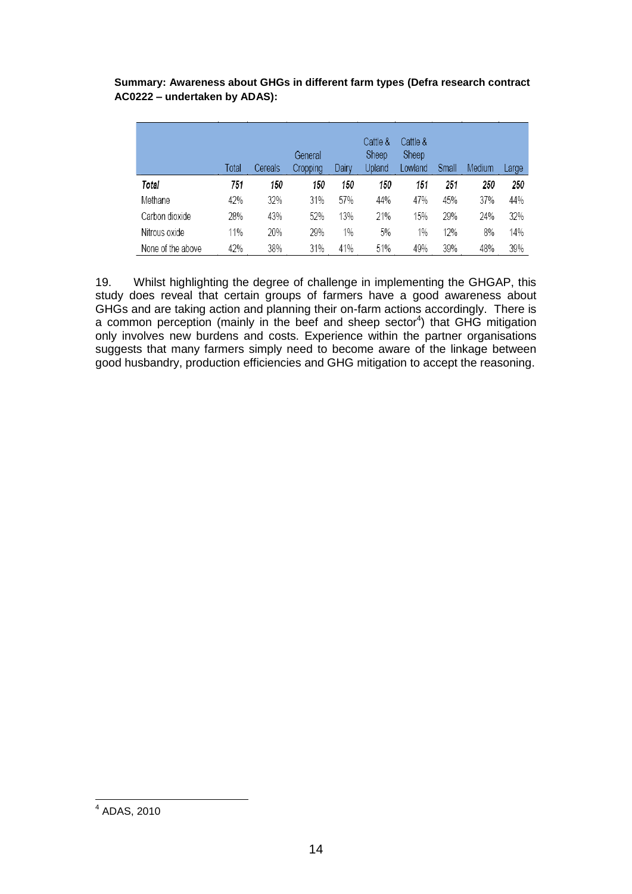**Summary: Awareness about GHGs in different farm types (Defra research contract AC0222 – undertaken by ADAS):** 

|                   | Total | Cereals | General<br>Cropping | Dairy | Cattle &<br>Sheep<br>Upland | Cattle &<br>Sheep<br>Lowland | Small | Medium | Large |
|-------------------|-------|---------|---------------------|-------|-----------------------------|------------------------------|-------|--------|-------|
| Total             | 751   | 150     | 150                 | 150   | 150                         | 151                          | 251   | 250    | 250   |
| Methane           | 42%   | 32%     | 31%                 | 57%   | 44%                         | 47%                          | 45%   | 37%    | 44%   |
| Carbon dioxide    | 28%   | 43%     | 52%                 | 13%   | 21%                         | 15%                          | 29%   | 24%    | 32%   |
| Nitrous oxide     | 11%   | 20%     | 29%                 | 1%    | 5%                          | 1%                           | 12%   | 8%     | 14%   |
| None of the above | 42%   | 38%     | 31%                 | 41%   | 51%                         | 49%                          | 39%   | 48%    | 39%   |

19. Whilst highlighting the degree of challenge in implementing the GHGAP, this study does reveal that certain groups of farmers have a good awareness about GHGs and are taking action and planning their on-farm actions accordingly. There is a common perception (mainly in the beef and sheep sector<sup>4</sup>) that GHG mitigation only involves new burdens and costs. Experience within the partner organisations suggests that many farmers simply need to become aware of the linkage between good husbandry, production efficiencies and GHG mitigation to accept the reasoning.

 4 ADAS, 2010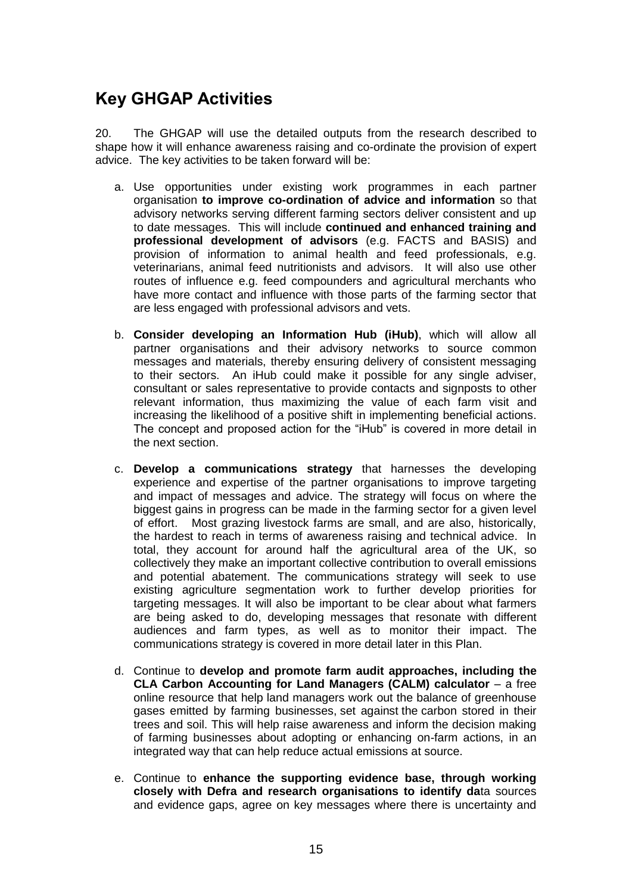## **Key GHGAP Activities**

20. The GHGAP will use the detailed outputs from the research described to shape how it will enhance awareness raising and co-ordinate the provision of expert advice. The key activities to be taken forward will be:

- a. Use opportunities under existing work programmes in each partner organisation **to improve co-ordination of advice and information** so that advisory networks serving different farming sectors deliver consistent and up to date messages. This will include **continued and enhanced training and professional development of advisors** (e.g. FACTS and BASIS) and provision of information to animal health and feed professionals, e.g. veterinarians, animal feed nutritionists and advisors. It will also use other routes of influence e.g. feed compounders and agricultural merchants who have more contact and influence with those parts of the farming sector that are less engaged with professional advisors and vets.
- b. **Consider developing an Information Hub (iHub)**, which will allow all partner organisations and their advisory networks to source common messages and materials, thereby ensuring delivery of consistent messaging to their sectors. An iHub could make it possible for any single adviser, consultant or sales representative to provide contacts and signposts to other relevant information, thus maximizing the value of each farm visit and increasing the likelihood of a positive shift in implementing beneficial actions. The concept and proposed action for the "iHub" is covered in more detail in the next section.
- c. **Develop a communications strategy** that harnesses the developing experience and expertise of the partner organisations to improve targeting and impact of messages and advice. The strategy will focus on where the biggest gains in progress can be made in the farming sector for a given level of effort. Most grazing livestock farms are small, and are also, historically, the hardest to reach in terms of awareness raising and technical advice. In total, they account for around half the agricultural area of the UK, so collectively they make an important collective contribution to overall emissions and potential abatement. The communications strategy will seek to use existing agriculture segmentation work to further develop priorities for targeting messages. It will also be important to be clear about what farmers are being asked to do, developing messages that resonate with different audiences and farm types, as well as to monitor their impact. The communications strategy is covered in more detail later in this Plan.
- d. Continue to **develop and promote farm audit approaches, including the CLA Carbon Accounting for Land Managers (CALM) calculator** – a free online resource that help land managers work out the balance of greenhouse gases emitted by farming businesses, set against the carbon stored in their trees and soil. This will help raise awareness and inform the decision making of farming businesses about adopting or enhancing on-farm actions, in an integrated way that can help reduce actual emissions at source.
- e. Continue to **enhance the supporting evidence base, through working closely with Defra and research organisations to identify da**ta sources and evidence gaps, agree on key messages where there is uncertainty and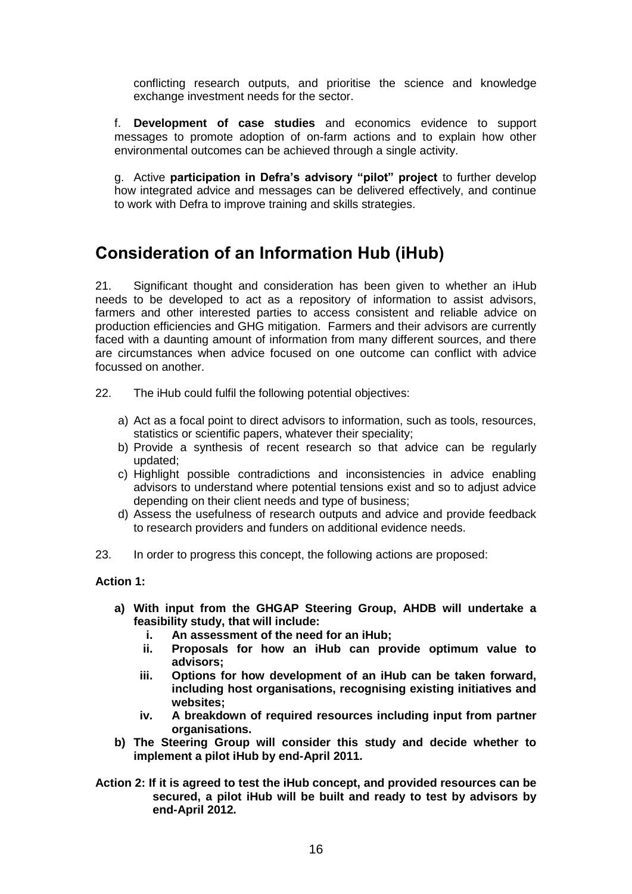conflicting research outputs, and prioritise the science and knowledge exchange investment needs for the sector.

f. **Development of case studies** and economics evidence to support messages to promote adoption of on-farm actions and to explain how other environmental outcomes can be achieved through a single activity.

g. Active **participation in Defra's advisory "pilot" project** to further develop how integrated advice and messages can be delivered effectively, and continue to work with Defra to improve training and skills strategies.

## **Consideration of an Information Hub (iHub)**

21. Significant thought and consideration has been given to whether an iHub needs to be developed to act as a repository of information to assist advisors, farmers and other interested parties to access consistent and reliable advice on production efficiencies and GHG mitigation. Farmers and their advisors are currently faced with a daunting amount of information from many different sources, and there are circumstances when advice focused on one outcome can conflict with advice focussed on another.

- 22. The iHub could fulfil the following potential objectives:
	- a) Act as a focal point to direct advisors to information, such as tools, resources, statistics or scientific papers, whatever their speciality;
	- b) Provide a synthesis of recent research so that advice can be regularly updated;
	- c) Highlight possible contradictions and inconsistencies in advice enabling advisors to understand where potential tensions exist and so to adjust advice depending on their client needs and type of business;
	- d) Assess the usefulness of research outputs and advice and provide feedback to research providers and funders on additional evidence needs.
- 23. In order to progress this concept, the following actions are proposed:

#### **Action 1:**

- **a) With input from the GHGAP Steering Group, AHDB will undertake a feasibility study, that will include:**
	- **i. An assessment of the need for an iHub;**
	- **ii. Proposals for how an iHub can provide optimum value to advisors;**
	- **iii. Options for how development of an iHub can be taken forward, including host organisations, recognising existing initiatives and websites;**
	- **iv. A breakdown of required resources including input from partner organisations.**
- **b) The Steering Group will consider this study and decide whether to implement a pilot iHub by end-April 2011.**
- **Action 2: If it is agreed to test the iHub concept, and provided resources can be secured, a pilot iHub will be built and ready to test by advisors by end-April 2012.**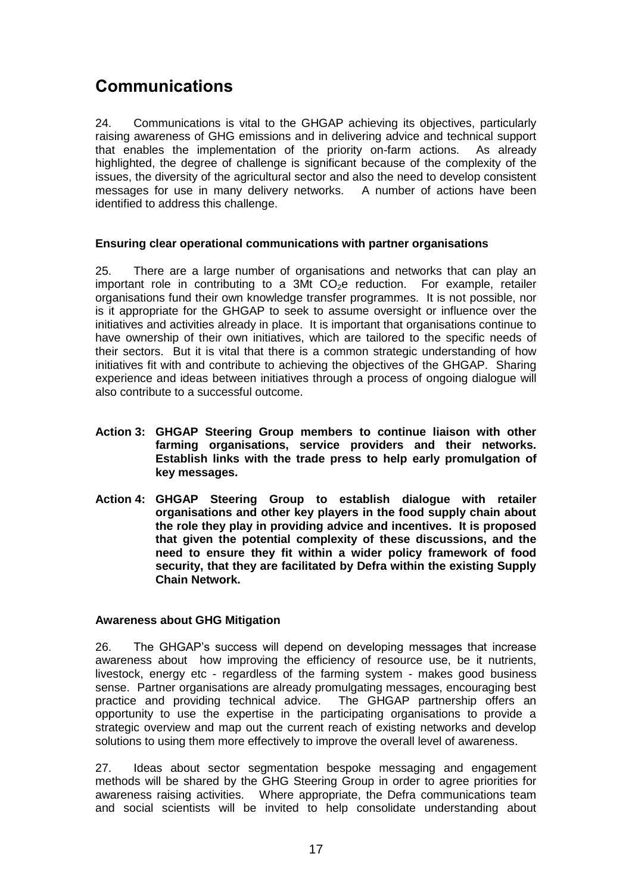## **Communications**

24. Communications is vital to the GHGAP achieving its objectives, particularly raising awareness of GHG emissions and in delivering advice and technical support that enables the implementation of the priority on-farm actions. As already highlighted, the degree of challenge is significant because of the complexity of the issues, the diversity of the agricultural sector and also the need to develop consistent messages for use in many delivery networks. A number of actions have been identified to address this challenge.

#### **Ensuring clear operational communications with partner organisations**

25. There are a large number of organisations and networks that can play an important role in contributing to a 3Mt  $CO<sub>2</sub>e$  reduction. For example, retailer organisations fund their own knowledge transfer programmes. It is not possible, nor is it appropriate for the GHGAP to seek to assume oversight or influence over the initiatives and activities already in place. It is important that organisations continue to have ownership of their own initiatives, which are tailored to the specific needs of their sectors. But it is vital that there is a common strategic understanding of how initiatives fit with and contribute to achieving the objectives of the GHGAP. Sharing experience and ideas between initiatives through a process of ongoing dialogue will also contribute to a successful outcome.

- **Action 3: GHGAP Steering Group members to continue liaison with other farming organisations, service providers and their networks. Establish links with the trade press to help early promulgation of key messages.**
- **Action 4: GHGAP Steering Group to establish dialogue with retailer organisations and other key players in the food supply chain about the role they play in providing advice and incentives. It is proposed that given the potential complexity of these discussions, and the need to ensure they fit within a wider policy framework of food security, that they are facilitated by Defra within the existing Supply Chain Network.**

#### **Awareness about GHG Mitigation**

26. The GHGAP"s success will depend on developing messages that increase awareness about how improving the efficiency of resource use, be it nutrients, livestock, energy etc - regardless of the farming system - makes good business sense. Partner organisations are already promulgating messages, encouraging best practice and providing technical advice. The GHGAP partnership offers an opportunity to use the expertise in the participating organisations to provide a strategic overview and map out the current reach of existing networks and develop solutions to using them more effectively to improve the overall level of awareness.

27. Ideas about sector segmentation bespoke messaging and engagement methods will be shared by the GHG Steering Group in order to agree priorities for awareness raising activities. Where appropriate, the Defra communications team and social scientists will be invited to help consolidate understanding about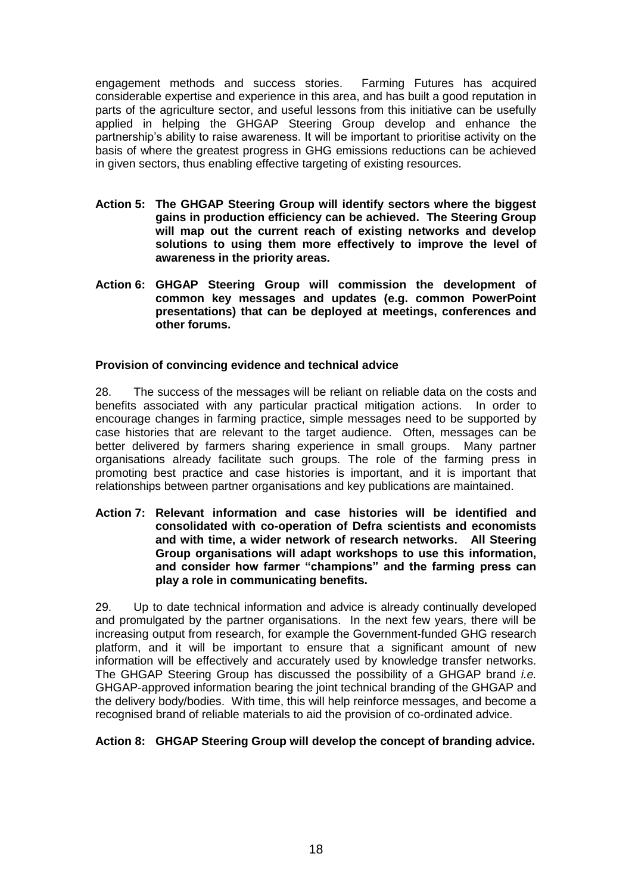engagement methods and success stories. Farming Futures has acquired considerable expertise and experience in this area, and has built a good reputation in parts of the agriculture sector, and useful lessons from this initiative can be usefully applied in helping the GHGAP Steering Group develop and enhance the partnership"s ability to raise awareness. It will be important to prioritise activity on the basis of where the greatest progress in GHG emissions reductions can be achieved in given sectors, thus enabling effective targeting of existing resources.

- **Action 5: The GHGAP Steering Group will identify sectors where the biggest gains in production efficiency can be achieved. The Steering Group will map out the current reach of existing networks and develop solutions to using them more effectively to improve the level of awareness in the priority areas.**
- **Action 6: GHGAP Steering Group will commission the development of common key messages and updates (e.g. common PowerPoint presentations) that can be deployed at meetings, conferences and other forums.**

#### **Provision of convincing evidence and technical advice**

28. The success of the messages will be reliant on reliable data on the costs and benefits associated with any particular practical mitigation actions. In order to encourage changes in farming practice, simple messages need to be supported by case histories that are relevant to the target audience. Often, messages can be better delivered by farmers sharing experience in small groups. Many partner organisations already facilitate such groups. The role of the farming press in promoting best practice and case histories is important, and it is important that relationships between partner organisations and key publications are maintained.

**Action 7: Relevant information and case histories will be identified and consolidated with co-operation of Defra scientists and economists and with time, a wider network of research networks. All Steering Group organisations will adapt workshops to use this information, and consider how farmer "champions" and the farming press can play a role in communicating benefits.** 

29. Up to date technical information and advice is already continually developed and promulgated by the partner organisations. In the next few years, there will be increasing output from research, for example the Government-funded GHG research platform, and it will be important to ensure that a significant amount of new information will be effectively and accurately used by knowledge transfer networks. The GHGAP Steering Group has discussed the possibility of a GHGAP brand *i.e.*  GHGAP-approved information bearing the joint technical branding of the GHGAP and the delivery body/bodies. With time, this will help reinforce messages, and become a recognised brand of reliable materials to aid the provision of co-ordinated advice.

#### **Action 8: GHGAP Steering Group will develop the concept of branding advice.**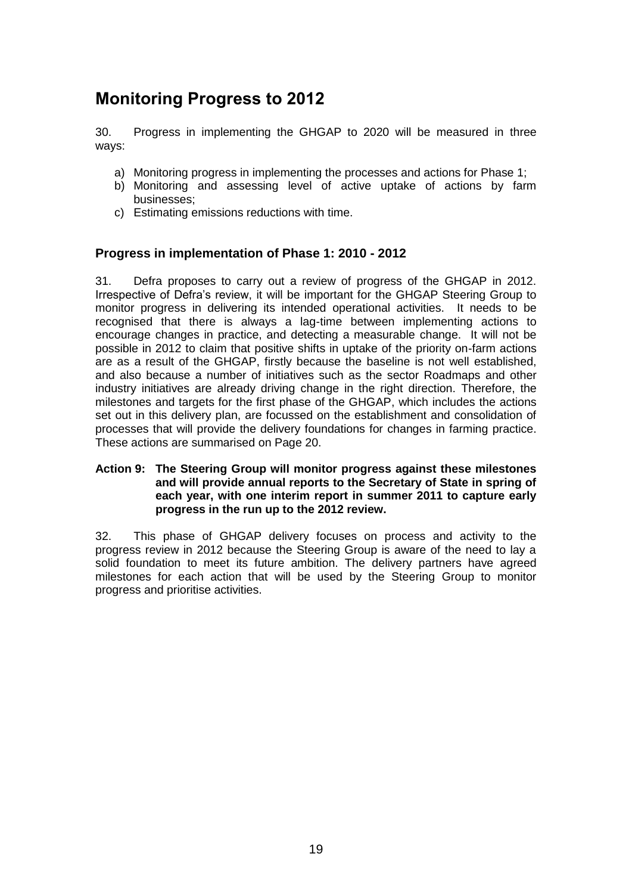## **Monitoring Progress to 2012**

30. Progress in implementing the GHGAP to 2020 will be measured in three ways:

- a) Monitoring progress in implementing the processes and actions for Phase 1;
- b) Monitoring and assessing level of active uptake of actions by farm businesses;
- c) Estimating emissions reductions with time.

#### **Progress in implementation of Phase 1: 2010 - 2012**

31. Defra proposes to carry out a review of progress of the GHGAP in 2012. Irrespective of Defra"s review, it will be important for the GHGAP Steering Group to monitor progress in delivering its intended operational activities. It needs to be recognised that there is always a lag-time between implementing actions to encourage changes in practice, and detecting a measurable change. It will not be possible in 2012 to claim that positive shifts in uptake of the priority on-farm actions are as a result of the GHGAP, firstly because the baseline is not well established, and also because a number of initiatives such as the sector Roadmaps and other industry initiatives are already driving change in the right direction. Therefore, the milestones and targets for the first phase of the GHGAP, which includes the actions set out in this delivery plan, are focussed on the establishment and consolidation of processes that will provide the delivery foundations for changes in farming practice. These actions are summarised on Page 20.

#### **Action 9: The Steering Group will monitor progress against these milestones and will provide annual reports to the Secretary of State in spring of each year, with one interim report in summer 2011 to capture early progress in the run up to the 2012 review.**

32. This phase of GHGAP delivery focuses on process and activity to the progress review in 2012 because the Steering Group is aware of the need to lay a solid foundation to meet its future ambition. The delivery partners have agreed milestones for each action that will be used by the Steering Group to monitor progress and prioritise activities.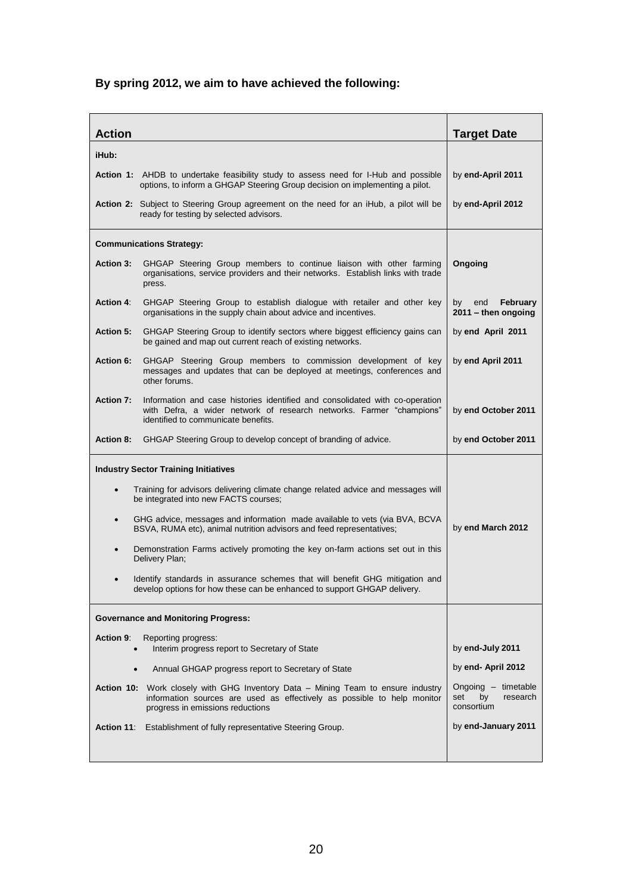### **By spring 2012, we aim to have achieved the following:**

| <b>Action</b>                                                                                 |                                                                                                                                                                                                 |                                                            |
|-----------------------------------------------------------------------------------------------|-------------------------------------------------------------------------------------------------------------------------------------------------------------------------------------------------|------------------------------------------------------------|
|                                                                                               |                                                                                                                                                                                                 | <b>Target Date</b>                                         |
| iHub:                                                                                         |                                                                                                                                                                                                 |                                                            |
|                                                                                               | Action 1: AHDB to undertake feasibility study to assess need for I-Hub and possible<br>options, to inform a GHGAP Steering Group decision on implementing a pilot.                              | by end-April 2011                                          |
| <b>Action 2:</b> Subject to Steering Group agreement on the need for an iHub, a pilot will be | by end-April 2012                                                                                                                                                                               |                                                            |
|                                                                                               | <b>Communications Strategy:</b>                                                                                                                                                                 |                                                            |
| Action 3:                                                                                     | GHGAP Steering Group members to continue liaison with other farming<br>organisations, service providers and their networks. Establish links with trade<br>press.                                | Ongoing                                                    |
| Action 4:                                                                                     | GHGAP Steering Group to establish dialogue with retailer and other key<br>organisations in the supply chain about advice and incentives.                                                        | end<br>February<br>by<br>$2011 -$ then ongoing             |
| Action 5:                                                                                     | GHGAP Steering Group to identify sectors where biggest efficiency gains can<br>be gained and map out current reach of existing networks.                                                        | by end April 2011                                          |
| <b>Action 6:</b>                                                                              | GHGAP Steering Group members to commission development of key<br>messages and updates that can be deployed at meetings, conferences and<br>other forums.                                        | by end April 2011                                          |
| <b>Action 7:</b>                                                                              | Information and case histories identified and consolidated with co-operation<br>with Defra, a wider network of research networks. Farmer "champions"<br>identified to communicate benefits.     | by end October 2011                                        |
| <b>Action 8:</b>                                                                              | GHGAP Steering Group to develop concept of branding of advice.                                                                                                                                  | by end October 2011                                        |
|                                                                                               | <b>Industry Sector Training Initiatives</b>                                                                                                                                                     |                                                            |
|                                                                                               | Training for advisors delivering climate change related advice and messages will<br>be integrated into new FACTS courses;                                                                       |                                                            |
| $\bullet$                                                                                     | GHG advice, messages and information made available to vets (via BVA, BCVA<br>BSVA, RUMA etc), animal nutrition advisors and feed representatives;                                              | by end March 2012                                          |
| $\bullet$                                                                                     | Demonstration Farms actively promoting the key on-farm actions set out in this<br>Delivery Plan;                                                                                                |                                                            |
|                                                                                               | Identify standards in assurance schemes that will benefit GHG mitigation and<br>develop options for how these can be enhanced to support GHGAP delivery.                                        |                                                            |
|                                                                                               | <b>Governance and Monitoring Progress:</b>                                                                                                                                                      |                                                            |
| <b>Action 9:</b><br>$\bullet$                                                                 | Reporting progress:<br>Interim progress report to Secretary of State                                                                                                                            | by end-July 2011                                           |
| $\bullet$                                                                                     | Annual GHGAP progress report to Secretary of State                                                                                                                                              | by end- April 2012                                         |
|                                                                                               | Action 10: Work closely with GHG Inventory Data - Mining Team to ensure industry<br>information sources are used as effectively as possible to help monitor<br>progress in emissions reductions | Ongoing - timetable<br>set<br>research<br>by<br>consortium |
| <b>Action 11:</b>                                                                             | Establishment of fully representative Steering Group.                                                                                                                                           | by end-January 2011                                        |
|                                                                                               |                                                                                                                                                                                                 |                                                            |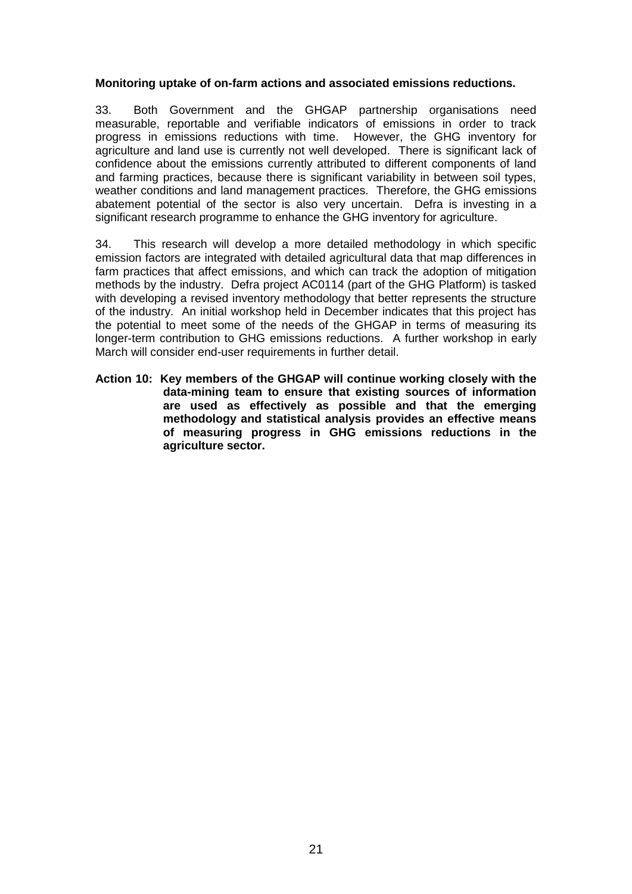#### **Monitoring uptake of on-farm actions and associated emissions reductions.**

33. Both Government and the GHGAP partnership organisations need measurable, reportable and verifiable indicators of emissions in order to track progress in emissions reductions with time. However, the GHG inventory for agriculture and land use is currently not well developed. There is significant lack of confidence about the emissions currently attributed to different components of land and farming practices, because there is significant variability in between soil types, weather conditions and land management practices. Therefore, the GHG emissions abatement potential of the sector is also very uncertain. Defra is investing in a significant research programme to enhance the GHG inventory for agriculture.

34. This research will develop a more detailed methodology in which specific emission factors are integrated with detailed agricultural data that map differences in farm practices that affect emissions, and which can track the adoption of mitigation methods by the industry. Defra project AC0114 (part of the GHG Platform) is tasked with developing a revised inventory methodology that better represents the structure of the industry. An initial workshop held in December indicates that this project has the potential to meet some of the needs of the GHGAP in terms of measuring its longer-term contribution to GHG emissions reductions. A further workshop in early March will consider end-user requirements in further detail.

**Action 10: Key members of the GHGAP will continue working closely with the data-mining team to ensure that existing sources of information are used as effectively as possible and that the emerging methodology and statistical analysis provides an effective means of measuring progress in GHG emissions reductions in the agriculture sector.**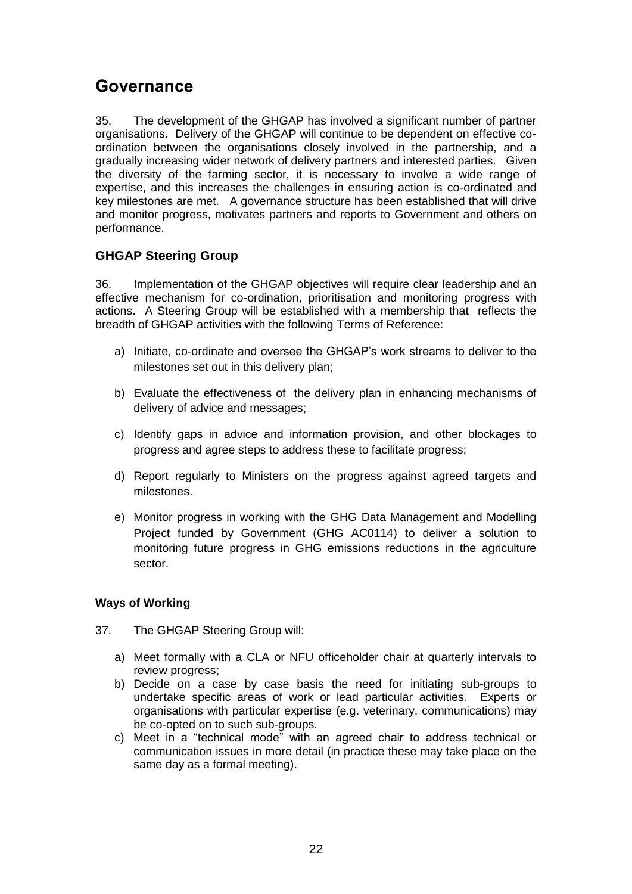## **Governance**

35. The development of the GHGAP has involved a significant number of partner organisations. Delivery of the GHGAP will continue to be dependent on effective coordination between the organisations closely involved in the partnership, and a gradually increasing wider network of delivery partners and interested parties. Given the diversity of the farming sector, it is necessary to involve a wide range of expertise, and this increases the challenges in ensuring action is co-ordinated and key milestones are met. A governance structure has been established that will drive and monitor progress, motivates partners and reports to Government and others on performance.

#### **GHGAP Steering Group**

36. Implementation of the GHGAP objectives will require clear leadership and an effective mechanism for co-ordination, prioritisation and monitoring progress with actions. A Steering Group will be established with a membership that reflects the breadth of GHGAP activities with the following Terms of Reference:

- a) Initiate, co-ordinate and oversee the GHGAP"s work streams to deliver to the milestones set out in this delivery plan;
- b) Evaluate the effectiveness of the delivery plan in enhancing mechanisms of delivery of advice and messages;
- c) Identify gaps in advice and information provision, and other blockages to progress and agree steps to address these to facilitate progress;
- d) Report regularly to Ministers on the progress against agreed targets and milestones.
- e) Monitor progress in working with the GHG Data Management and Modelling Project funded by Government (GHG AC0114) to deliver a solution to monitoring future progress in GHG emissions reductions in the agriculture sector.

#### **Ways of Working**

- 37. The GHGAP Steering Group will:
	- a) Meet formally with a CLA or NFU officeholder chair at quarterly intervals to review progress;
	- b) Decide on a case by case basis the need for initiating sub-groups to undertake specific areas of work or lead particular activities. Experts or organisations with particular expertise (e.g. veterinary, communications) may be co-opted on to such sub-groups.
	- c) Meet in a "technical mode" with an agreed chair to address technical or communication issues in more detail (in practice these may take place on the same day as a formal meeting).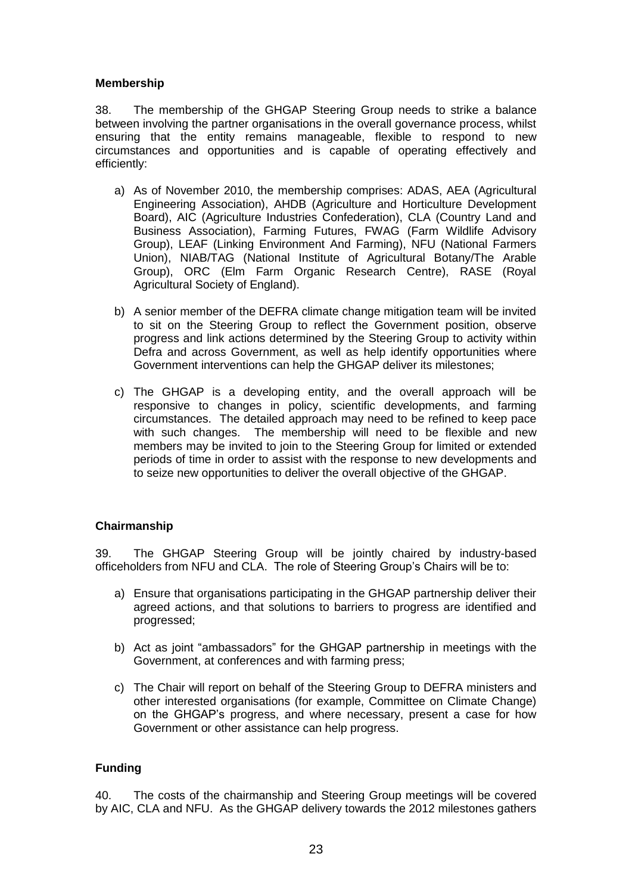#### **Membership**

38. The membership of the GHGAP Steering Group needs to strike a balance between involving the partner organisations in the overall governance process, whilst ensuring that the entity remains manageable, flexible to respond to new circumstances and opportunities and is capable of operating effectively and efficiently:

- a) As of November 2010, the membership comprises: ADAS, AEA (Agricultural Engineering Association), AHDB (Agriculture and Horticulture Development Board), AIC (Agriculture Industries Confederation), CLA (Country Land and Business Association), Farming Futures, FWAG (Farm Wildlife Advisory Group), LEAF (Linking Environment And Farming), NFU (National Farmers Union), NIAB/TAG (National Institute of Agricultural Botany/The Arable Group), ORC (Elm Farm Organic Research Centre), RASE (Royal Agricultural Society of England).
- b) A senior member of the DEFRA climate change mitigation team will be invited to sit on the Steering Group to reflect the Government position, observe progress and link actions determined by the Steering Group to activity within Defra and across Government, as well as help identify opportunities where Government interventions can help the GHGAP deliver its milestones;
- c) The GHGAP is a developing entity, and the overall approach will be responsive to changes in policy, scientific developments, and farming circumstances. The detailed approach may need to be refined to keep pace with such changes. The membership will need to be flexible and new members may be invited to join to the Steering Group for limited or extended periods of time in order to assist with the response to new developments and to seize new opportunities to deliver the overall objective of the GHGAP.

#### **Chairmanship**

39. The GHGAP Steering Group will be jointly chaired by industry-based officeholders from NFU and CLA. The role of Steering Group"s Chairs will be to:

- a) Ensure that organisations participating in the GHGAP partnership deliver their agreed actions, and that solutions to barriers to progress are identified and progressed;
- b) Act as joint "ambassadors" for the GHGAP partnership in meetings with the Government, at conferences and with farming press;
- c) The Chair will report on behalf of the Steering Group to DEFRA ministers and other interested organisations (for example, Committee on Climate Change) on the GHGAP"s progress, and where necessary, present a case for how Government or other assistance can help progress.

#### **Funding**

40. The costs of the chairmanship and Steering Group meetings will be covered by AIC, CLA and NFU. As the GHGAP delivery towards the 2012 milestones gathers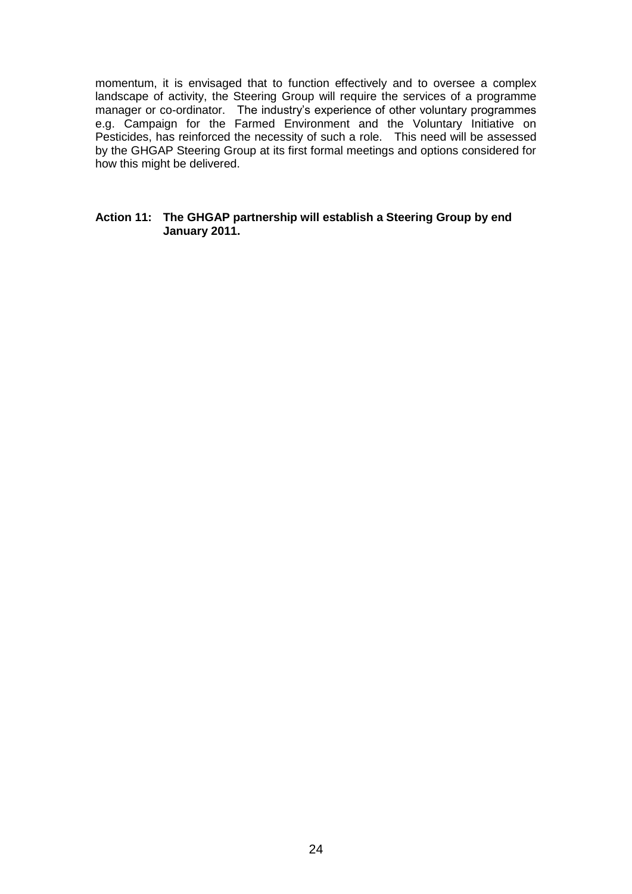momentum, it is envisaged that to function effectively and to oversee a complex landscape of activity, the Steering Group will require the services of a programme manager or co-ordinator. The industry"s experience of other voluntary programmes e.g. Campaign for the Farmed Environment and the Voluntary Initiative on Pesticides, has reinforced the necessity of such a role. This need will be assessed by the GHGAP Steering Group at its first formal meetings and options considered for how this might be delivered.

#### **Action 11: The GHGAP partnership will establish a Steering Group by end January 2011.**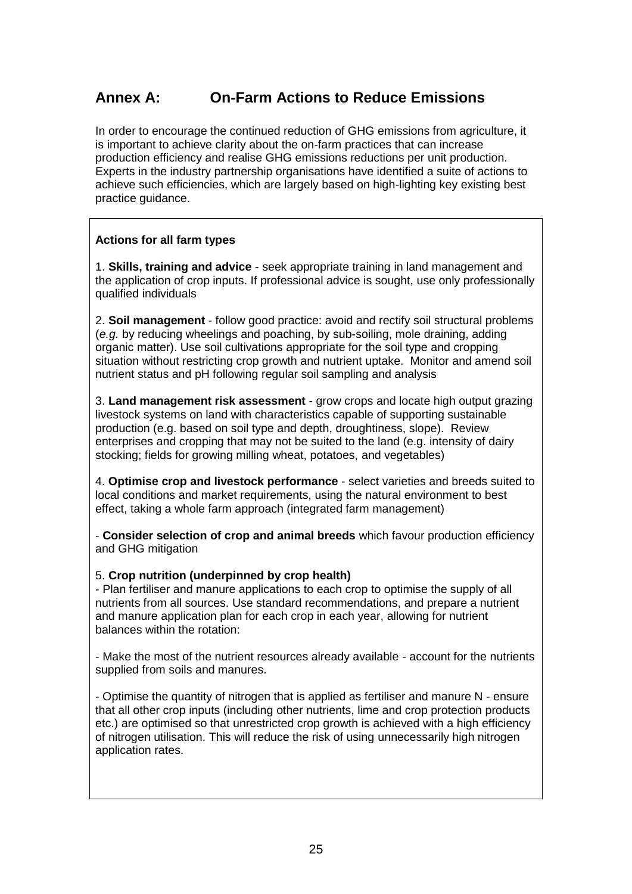### **Annex A: On-Farm Actions to Reduce Emissions**

In order to encourage the continued reduction of GHG emissions from agriculture, it is important to achieve clarity about the on-farm practices that can increase production efficiency and realise GHG emissions reductions per unit production. Experts in the industry partnership organisations have identified a suite of actions to achieve such efficiencies, which are largely based on high-lighting key existing best practice guidance.

#### **Actions for all farm types**

1. **Skills, training and advice** - seek appropriate training in land management and the application of crop inputs. If professional advice is sought, use only professionally qualified individuals

2. **Soil management** - follow good practice: avoid and rectify soil structural problems (*e.g.* by reducing wheelings and poaching, by sub-soiling, mole draining, adding organic matter). Use soil cultivations appropriate for the soil type and cropping situation without restricting crop growth and nutrient uptake. Monitor and amend soil nutrient status and pH following regular soil sampling and analysis

3. **Land management risk assessment** - grow crops and locate high output grazing livestock systems on land with characteristics capable of supporting sustainable production (e.g. based on soil type and depth, droughtiness, slope). Review enterprises and cropping that may not be suited to the land (e.g. intensity of dairy stocking; fields for growing milling wheat, potatoes, and vegetables)

4. **Optimise crop and livestock performance** - select varieties and breeds suited to local conditions and market requirements, using the natural environment to best effect, taking a whole farm approach (integrated farm management)

- **Consider selection of crop and animal breeds** which favour production efficiency and GHG mitigation

#### 5. **Crop nutrition (underpinned by crop health)**

- Plan fertiliser and manure applications to each crop to optimise the supply of all nutrients from all sources. Use standard recommendations, and prepare a nutrient and manure application plan for each crop in each year, allowing for nutrient balances within the rotation:

- Make the most of the nutrient resources already available - account for the nutrients supplied from soils and manures.

- Optimise the quantity of nitrogen that is applied as fertiliser and manure N - ensure that all other crop inputs (including other nutrients, lime and crop protection products etc.) are optimised so that unrestricted crop growth is achieved with a high efficiency of nitrogen utilisation. This will reduce the risk of using unnecessarily high nitrogen application rates.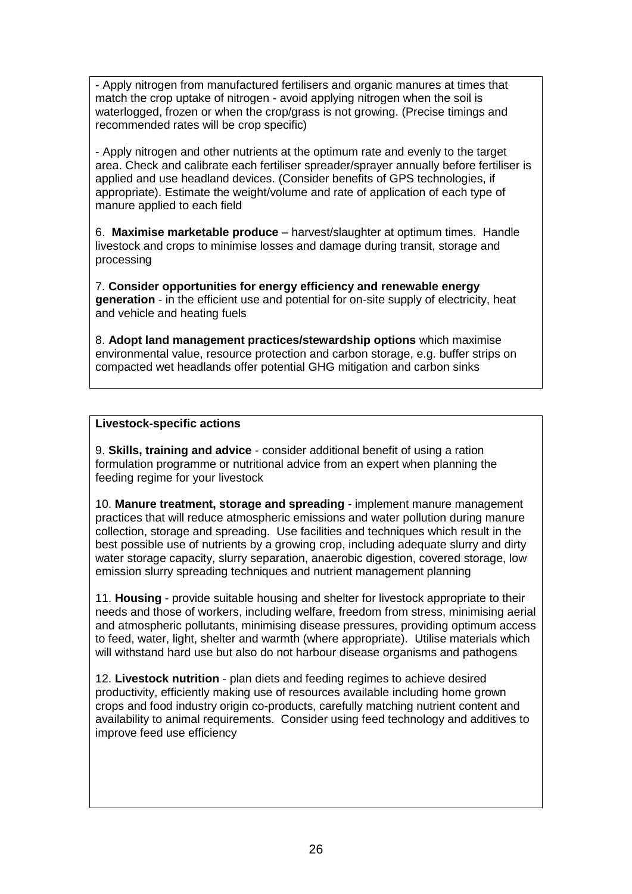- Apply nitrogen from manufactured fertilisers and organic manures at times that match the crop uptake of nitrogen - avoid applying nitrogen when the soil is waterlogged, frozen or when the crop/grass is not growing. (Precise timings and recommended rates will be crop specific)

- Apply nitrogen and other nutrients at the optimum rate and evenly to the target area. Check and calibrate each fertiliser spreader/sprayer annually before fertiliser is applied and use headland devices. (Consider benefits of GPS technologies, if appropriate). Estimate the weight/volume and rate of application of each type of manure applied to each field

6. **Maximise marketable produce** – harvest/slaughter at optimum times. Handle livestock and crops to minimise losses and damage during transit, storage and processing

7. **Consider opportunities for energy efficiency and renewable energy generation** - in the efficient use and potential for on-site supply of electricity, heat and vehicle and heating fuels

8. **Adopt land management practices/stewardship options** which maximise environmental value, resource protection and carbon storage, e.g. buffer strips on compacted wet headlands offer potential GHG mitigation and carbon sinks

#### **Livestock-specific actions**

9. **Skills, training and advice** - consider additional benefit of using a ration formulation programme or nutritional advice from an expert when planning the feeding regime for your livestock

10. **Manure treatment, storage and spreading** - implement manure management practices that will reduce atmospheric emissions and water pollution during manure collection, storage and spreading. Use facilities and techniques which result in the best possible use of nutrients by a growing crop, including adequate slurry and dirty water storage capacity, slurry separation, anaerobic digestion, covered storage, low emission slurry spreading techniques and nutrient management planning

11. **Housing** - provide suitable housing and shelter for livestock appropriate to their needs and those of workers, including welfare, freedom from stress, minimising aerial and atmospheric pollutants, minimising disease pressures, providing optimum access to feed, water, light, shelter and warmth (where appropriate). Utilise materials which will withstand hard use but also do not harbour disease organisms and pathogens

12. **Livestock nutrition** - plan diets and feeding regimes to achieve desired productivity, efficiently making use of resources available including home grown crops and food industry origin co-products, carefully matching nutrient content and availability to animal requirements. Consider using feed technology and additives to improve feed use efficiency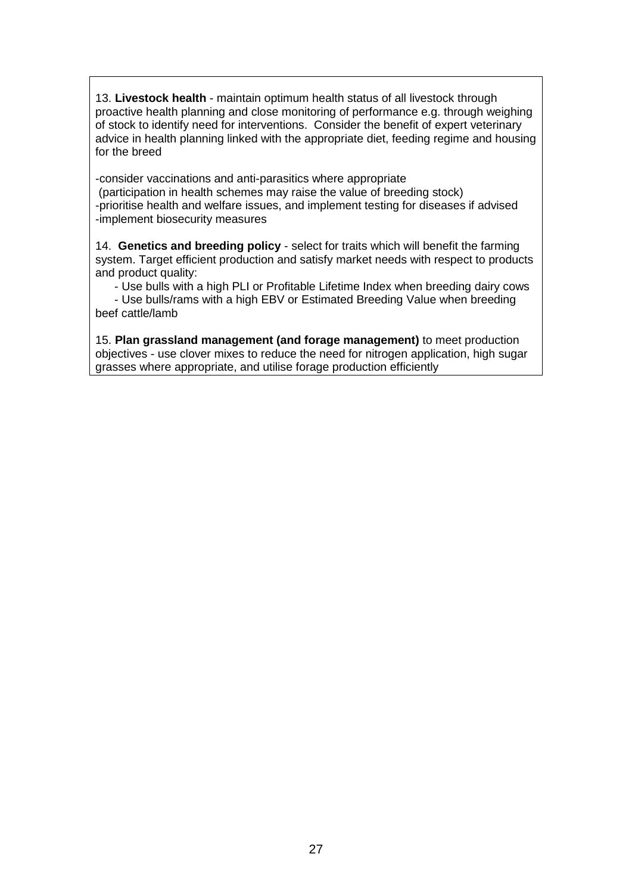13. **Livestock health** - maintain optimum health status of all livestock through proactive health planning and close monitoring of performance e.g. through weighing of stock to identify need for interventions. Consider the benefit of expert veterinary advice in health planning linked with the appropriate diet, feeding regime and housing for the breed

-consider vaccinations and anti-parasitics where appropriate (participation in health schemes may raise the value of breeding stock) -prioritise health and welfare issues, and implement testing for diseases if advised -implement biosecurity measures

14. **Genetics and breeding policy** - select for traits which will benefit the farming system. Target efficient production and satisfy market needs with respect to products and product quality:

- Use bulls with a high PLI or Profitable Lifetime Index when breeding dairy cows

- Use bulls/rams with a high EBV or Estimated Breeding Value when breeding beef cattle/lamb

15. **Plan grassland management (and forage management)** to meet production objectives - use clover mixes to reduce the need for nitrogen application, high sugar grasses where appropriate, and utilise forage production efficiently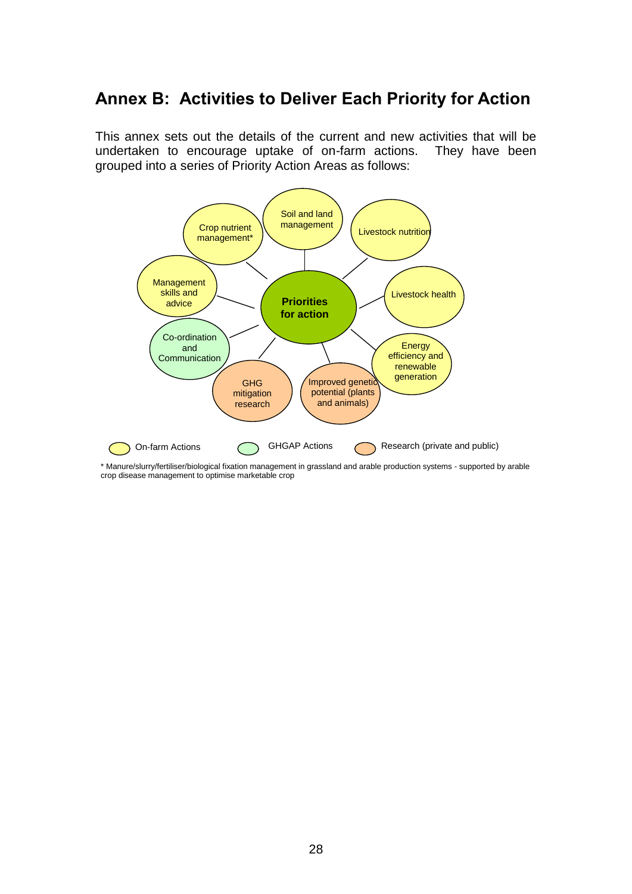## **Annex B: Activities to Deliver Each Priority for Action**

This annex sets out the details of the current and new activities that will be undertaken to encourage uptake of on-farm actions. They have been grouped into a series of Priority Action Areas as follows:



\* Manure/slurry/fertiliser/biological fixation management in grassland and arable production systems - supported by arable crop disease management to optimise marketable crop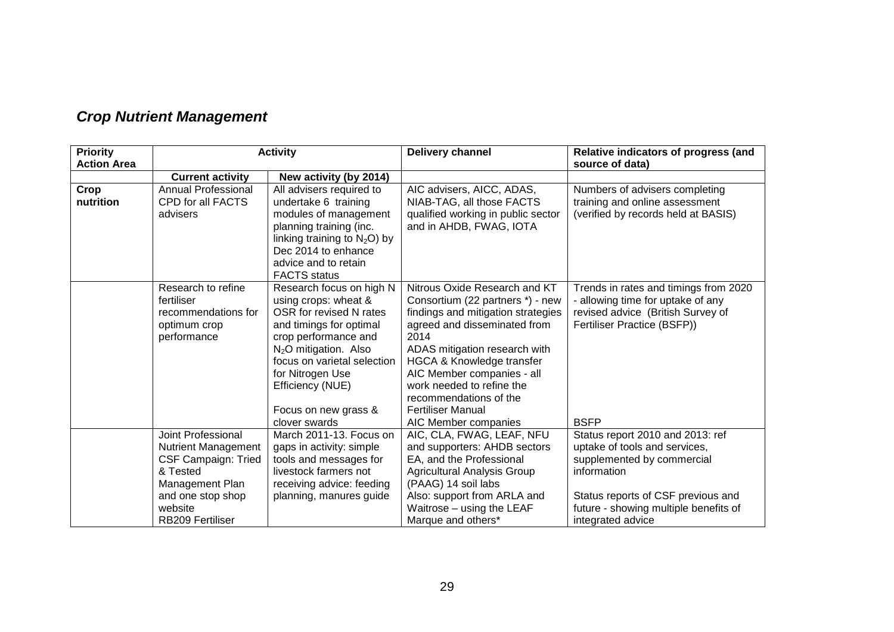| <b>Priority</b>    | <b>Activity</b>                                          |                                                    | <b>Delivery channel</b>                                  | Relative indicators of progress (and                              |
|--------------------|----------------------------------------------------------|----------------------------------------------------|----------------------------------------------------------|-------------------------------------------------------------------|
| <b>Action Area</b> |                                                          |                                                    |                                                          | source of data)                                                   |
|                    | <b>Current activity</b>                                  | New activity (by 2014)                             |                                                          |                                                                   |
| Crop               | <b>Annual Professional</b>                               | All advisers required to                           | AIC advisers, AICC, ADAS,                                | Numbers of advisers completing                                    |
| nutrition          | CPD for all FACTS                                        | undertake 6 training                               | NIAB-TAG, all those FACTS                                | training and online assessment                                    |
|                    | advisers                                                 | modules of management                              | qualified working in public sector                       | (verified by records held at BASIS)                               |
|                    |                                                          | planning training (inc.                            | and in AHDB, FWAG, IOTA                                  |                                                                   |
|                    |                                                          | linking training to $N_2O$ ) by                    |                                                          |                                                                   |
|                    |                                                          | Dec 2014 to enhance                                |                                                          |                                                                   |
|                    |                                                          | advice and to retain                               |                                                          |                                                                   |
|                    |                                                          | <b>FACTS</b> status                                |                                                          |                                                                   |
|                    | Research to refine                                       | Research focus on high N                           | Nitrous Oxide Research and KT                            | Trends in rates and timings from 2020                             |
|                    | fertiliser                                               | using crops: wheat &                               | Consortium (22 partners *) - new                         | - allowing time for uptake of any                                 |
|                    | recommendations for                                      | OSR for revised N rates                            | findings and mitigation strategies                       | revised advice (British Survey of                                 |
|                    | optimum crop                                             | and timings for optimal                            | agreed and disseminated from                             | Fertiliser Practice (BSFP))                                       |
|                    | performance                                              | crop performance and                               | 2014                                                     |                                                                   |
|                    |                                                          | N <sub>2</sub> O mitigation. Also                  | ADAS mitigation research with                            |                                                                   |
|                    |                                                          | focus on varietal selection                        | <b>HGCA &amp; Knowledge transfer</b>                     |                                                                   |
|                    |                                                          | for Nitrogen Use                                   | AIC Member companies - all                               |                                                                   |
|                    |                                                          | Efficiency (NUE)                                   | work needed to refine the                                |                                                                   |
|                    |                                                          |                                                    | recommendations of the                                   |                                                                   |
|                    |                                                          | Focus on new grass &                               | <b>Fertiliser Manual</b>                                 |                                                                   |
|                    |                                                          | clover swards<br>March 2011-13. Focus on           | AIC Member companies                                     | <b>BSFP</b>                                                       |
|                    | Joint Professional                                       |                                                    | AIC, CLA, FWAG, LEAF, NFU                                | Status report 2010 and 2013: ref<br>uptake of tools and services, |
|                    | <b>Nutrient Management</b><br><b>CSF Campaign: Tried</b> | gaps in activity: simple<br>tools and messages for | and supporters: AHDB sectors<br>EA, and the Professional | supplemented by commercial                                        |
|                    | & Tested                                                 | livestock farmers not                              | <b>Agricultural Analysis Group</b>                       | information                                                       |
|                    | Management Plan                                          | receiving advice: feeding                          | (PAAG) 14 soil labs                                      |                                                                   |
|                    | and one stop shop                                        | planning, manures guide                            | Also: support from ARLA and                              | Status reports of CSF previous and                                |
|                    | website                                                  |                                                    | Waitrose - using the LEAF                                | future - showing multiple benefits of                             |
|                    | <b>RB209 Fertiliser</b>                                  |                                                    | Marque and others*                                       | integrated advice                                                 |

## *Crop Nutrient Management*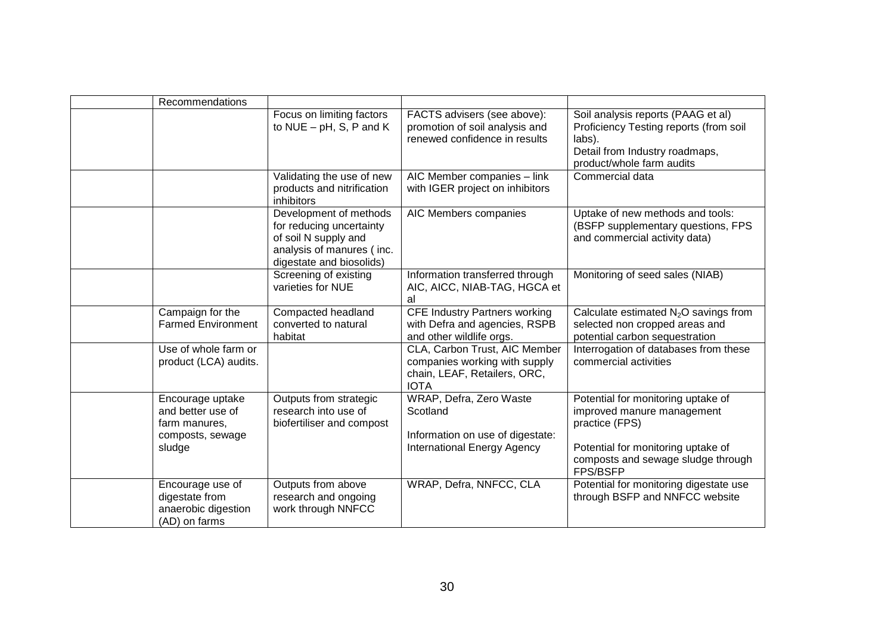| Recommendations                                                                      |                                                                                                                                     |                                                                                                               |                                                                                                                                                                            |
|--------------------------------------------------------------------------------------|-------------------------------------------------------------------------------------------------------------------------------------|---------------------------------------------------------------------------------------------------------------|----------------------------------------------------------------------------------------------------------------------------------------------------------------------------|
|                                                                                      | Focus on limiting factors<br>to $NUE - pH$ , S, P and K                                                                             | FACTS advisers (see above):<br>promotion of soil analysis and<br>renewed confidence in results                | Soil analysis reports (PAAG et al)<br>Proficiency Testing reports (from soil<br>labs).<br>Detail from Industry roadmaps,<br>product/whole farm audits                      |
|                                                                                      | Validating the use of new<br>products and nitrification<br>inhibitors                                                               | AIC Member companies - link<br>with IGER project on inhibitors                                                | Commercial data                                                                                                                                                            |
|                                                                                      | Development of methods<br>for reducing uncertainty<br>of soil N supply and<br>analysis of manures (inc.<br>digestate and biosolids) | AIC Members companies                                                                                         | Uptake of new methods and tools:<br>(BSFP supplementary questions, FPS<br>and commercial activity data)                                                                    |
|                                                                                      | Screening of existing<br>varieties for NUE                                                                                          | Information transferred through<br>AIC, AICC, NIAB-TAG, HGCA et<br>al                                         | Monitoring of seed sales (NIAB)                                                                                                                                            |
| Campaign for the<br><b>Farmed Environment</b>                                        | Compacted headland<br>converted to natural<br>habitat                                                                               | <b>CFE Industry Partners working</b><br>with Defra and agencies, RSPB<br>and other wildlife orgs.             | Calculate estimated $N_2O$ savings from<br>selected non cropped areas and<br>potential carbon sequestration                                                                |
| Use of whole farm or<br>product (LCA) audits.                                        |                                                                                                                                     | CLA, Carbon Trust, AIC Member<br>companies working with supply<br>chain, LEAF, Retailers, ORC,<br><b>IOTA</b> | Interrogation of databases from these<br>commercial activities                                                                                                             |
| Encourage uptake<br>and better use of<br>farm manures,<br>composts, sewage<br>sludge | Outputs from strategic<br>research into use of<br>biofertiliser and compost                                                         | WRAP, Defra, Zero Waste<br>Scotland<br>Information on use of digestate:<br><b>International Energy Agency</b> | Potential for monitoring uptake of<br>improved manure management<br>practice (FPS)<br>Potential for monitoring uptake of<br>composts and sewage sludge through<br>FPS/BSFP |
| Encourage use of<br>digestate from<br>anaerobic digestion<br>(AD) on farms           | Outputs from above<br>research and ongoing<br>work through NNFCC                                                                    | WRAP, Defra, NNFCC, CLA                                                                                       | Potential for monitoring digestate use<br>through BSFP and NNFCC website                                                                                                   |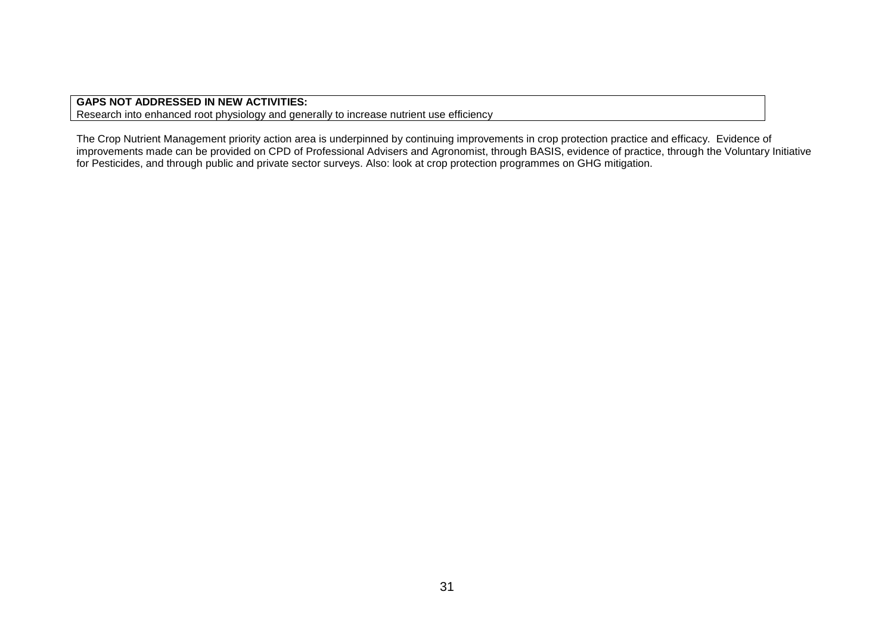**GAPS NOT ADDRESSED IN NEW ACTIVITIES:** Research into enhanced root physiology and generally to increase nutrient use efficiency

The Crop Nutrient Management priority action area is underpinned by continuing improvements in crop protection practice and efficacy. Evidence of improvements made can be provided on CPD of Professional Advisers and Agronomist, through BASIS, evidence of practice, through the Voluntary Initiative for Pesticides, and through public and private sector surveys. Also: look at crop protection programmes on GHG mitigation.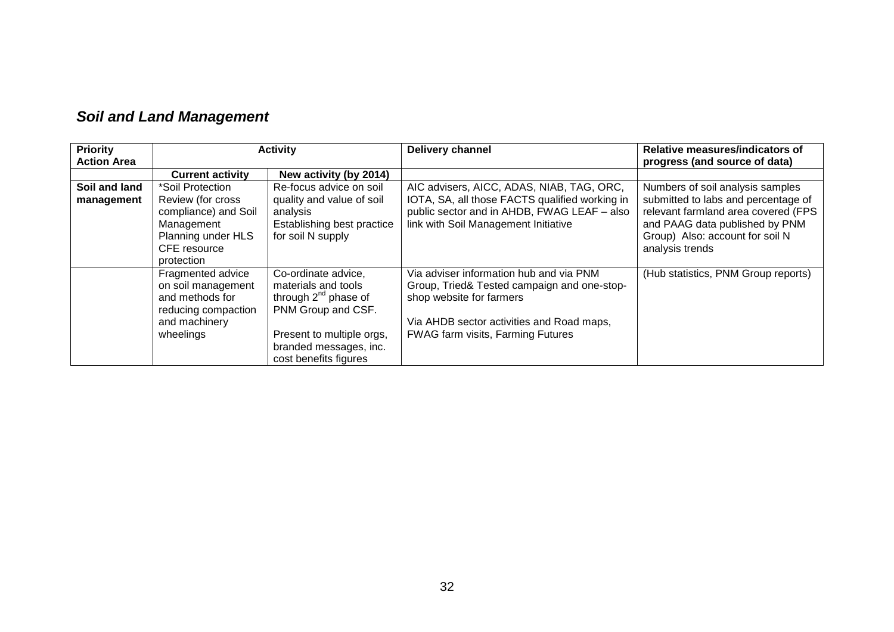| <b>Priority</b>    |                         | <b>Activity</b>            | <b>Delivery channel</b>                        | Relative measures/indicators of     |
|--------------------|-------------------------|----------------------------|------------------------------------------------|-------------------------------------|
| <b>Action Area</b> |                         |                            |                                                | progress (and source of data)       |
|                    | <b>Current activity</b> | New activity (by 2014)     |                                                |                                     |
| Soil and land      | *Soil Protection        | Re-focus advice on soil    | AIC advisers, AICC, ADAS, NIAB, TAG, ORC,      | Numbers of soil analysis samples    |
| management         | Review (for cross       | quality and value of soil  | IOTA, SA, all those FACTS qualified working in | submitted to labs and percentage of |
|                    | compliance) and Soil    | analysis                   | public sector and in AHDB, FWAG LEAF - also    | relevant farmland area covered (FPS |
|                    | Management              | Establishing best practice | link with Soil Management Initiative           | and PAAG data published by PNM      |
|                    | Planning under HLS      | for soil N supply          |                                                | Group) Also: account for soil N     |
|                    | CFE resource            |                            |                                                | analysis trends                     |
|                    | protection              |                            |                                                |                                     |
|                    | Fragmented advice       | Co-ordinate advice,        | Via adviser information hub and via PNM        | (Hub statistics, PNM Group reports) |
|                    | on soil management      | materials and tools        | Group, Tried& Tested campaign and one-stop-    |                                     |
|                    | and methods for         | through $2^{nd}$ phase of  | shop website for farmers                       |                                     |
|                    | reducing compaction     | PNM Group and CSF.         |                                                |                                     |
|                    | and machinery           |                            | Via AHDB sector activities and Road maps,      |                                     |
|                    | wheelings               | Present to multiple orgs,  | <b>FWAG farm visits, Farming Futures</b>       |                                     |
|                    |                         | branded messages, inc.     |                                                |                                     |
|                    |                         | cost benefits figures      |                                                |                                     |

## *Soil and Land Management*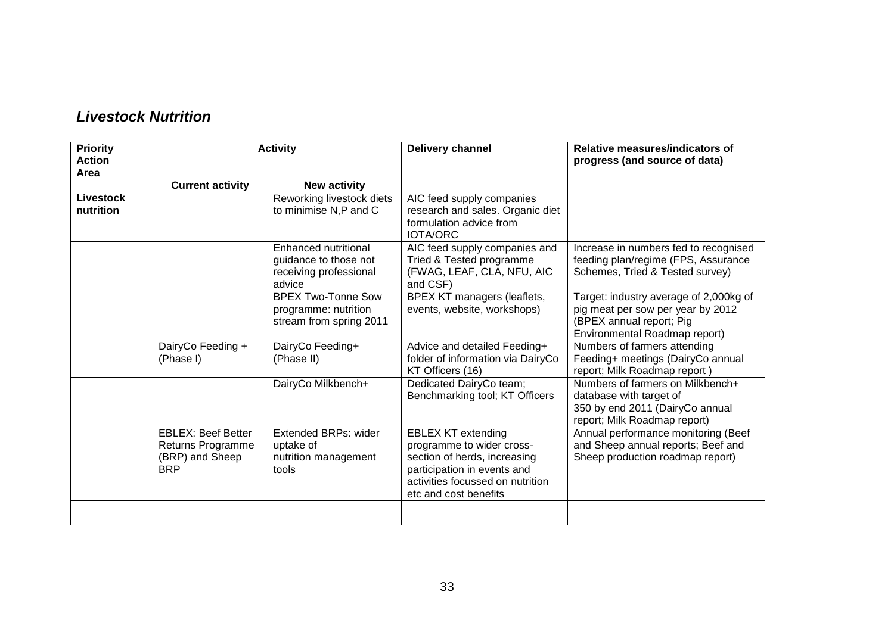| <b>Priority</b><br><b>Action</b><br>Area | <b>Activity</b>                                                                 |                                                                                   | <b>Delivery channel</b>                                                                                                                                                            |                                                                                                                                          |
|------------------------------------------|---------------------------------------------------------------------------------|-----------------------------------------------------------------------------------|------------------------------------------------------------------------------------------------------------------------------------------------------------------------------------|------------------------------------------------------------------------------------------------------------------------------------------|
|                                          | <b>Current activity</b>                                                         | <b>New activity</b>                                                               |                                                                                                                                                                                    |                                                                                                                                          |
| <b>Livestock</b><br>nutrition            |                                                                                 | Reworking livestock diets<br>to minimise N,P and C                                | AIC feed supply companies<br>research and sales. Organic diet<br>formulation advice from<br><b>IOTA/ORC</b>                                                                        |                                                                                                                                          |
|                                          |                                                                                 | Enhanced nutritional<br>guidance to those not<br>receiving professional<br>advice | AIC feed supply companies and<br>Tried & Tested programme<br>(FWAG, LEAF, CLA, NFU, AIC<br>and CSF)                                                                                | Increase in numbers fed to recognised<br>feeding plan/regime (FPS, Assurance<br>Schemes, Tried & Tested survey)                          |
|                                          |                                                                                 | <b>BPEX Two-Tonne Sow</b><br>programme: nutrition<br>stream from spring 2011      | BPEX KT managers (leaflets,<br>events, website, workshops)                                                                                                                         | Target: industry average of 2,000kg of<br>pig meat per sow per year by 2012<br>(BPEX annual report; Pig<br>Environmental Roadmap report) |
|                                          | DairyCo Feeding +<br>(Phase I)                                                  | DairyCo Feeding+<br>(Phase II)                                                    | Advice and detailed Feeding+<br>folder of information via DairyCo<br>KT Officers (16)                                                                                              | Numbers of farmers attending<br>Feeding+ meetings (DairyCo annual<br>report; Milk Roadmap report)                                        |
|                                          |                                                                                 | DairyCo Milkbench+                                                                | Dedicated DairyCo team;<br>Benchmarking tool; KT Officers                                                                                                                          | Numbers of farmers on Milkbench+<br>database with target of<br>350 by end 2011 (DairyCo annual<br>report; Milk Roadmap report)           |
|                                          | <b>EBLEX: Beef Better</b><br>Returns Programme<br>(BRP) and Sheep<br><b>BRP</b> | <b>Extended BRPs: wider</b><br>uptake of<br>nutrition management<br>tools         | <b>EBLEX KT extending</b><br>programme to wider cross-<br>section of herds, increasing<br>participation in events and<br>activities focussed on nutrition<br>etc and cost benefits | Annual performance monitoring (Beef<br>and Sheep annual reports; Beef and<br>Sheep production roadmap report)                            |
|                                          |                                                                                 |                                                                                   |                                                                                                                                                                                    |                                                                                                                                          |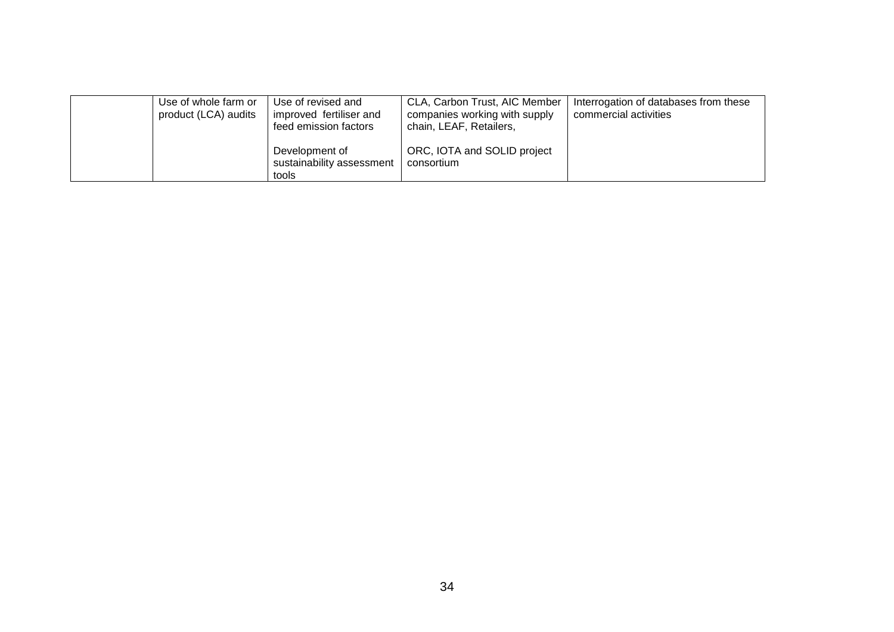| Use of whole farm or<br>product (LCA) audits | Use of revised and<br>improved fertiliser and<br>feed emission factors | CLA, Carbon Trust, AIC Member<br>companies working with supply<br>chain, LEAF, Retailers, | Interrogation of databases from these<br>commercial activities |
|----------------------------------------------|------------------------------------------------------------------------|-------------------------------------------------------------------------------------------|----------------------------------------------------------------|
|                                              | Development of<br>sustainability assessment<br>tools                   | ORC, IOTA and SOLID project<br>consortium                                                 |                                                                |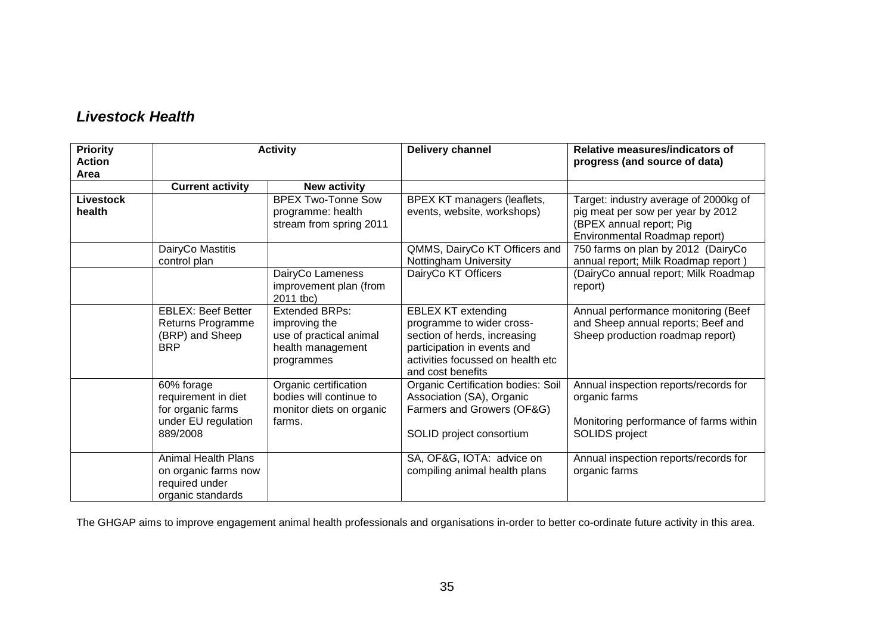| <b>Priority</b><br><b>Action</b><br>Area |                                                                                           | <b>Activity</b>                                                                                      |                                                                                                                                                                                 | Relative measures/indicators of<br>progress (and source of data)                                                                        |  |
|------------------------------------------|-------------------------------------------------------------------------------------------|------------------------------------------------------------------------------------------------------|---------------------------------------------------------------------------------------------------------------------------------------------------------------------------------|-----------------------------------------------------------------------------------------------------------------------------------------|--|
|                                          | <b>Current activity</b>                                                                   | <b>New activity</b>                                                                                  |                                                                                                                                                                                 |                                                                                                                                         |  |
| Livestock<br>health                      |                                                                                           | <b>BPEX Two-Tonne Sow</b><br>programme: health<br>stream from spring 2011                            | BPEX KT managers (leaflets,<br>events, website, workshops)                                                                                                                      | Target: industry average of 2000kg of<br>pig meat per sow per year by 2012<br>(BPEX annual report; Pig<br>Environmental Roadmap report) |  |
|                                          | DairyCo Mastitis<br>control plan                                                          |                                                                                                      | QMMS, DairyCo KT Officers and<br>Nottingham University                                                                                                                          | 750 farms on plan by 2012 (DairyCo<br>annual report; Milk Roadmap report)                                                               |  |
|                                          |                                                                                           | DairyCo Lameness<br>improvement plan (from<br>2011 tbc)                                              | DairyCo KT Officers                                                                                                                                                             | (DairyCo annual report; Milk Roadmap<br>report)                                                                                         |  |
|                                          | <b>EBLEX: Beef Better</b><br>Returns Programme<br>(BRP) and Sheep<br><b>BRP</b>           | <b>Extended BRPs:</b><br>improving the<br>use of practical animal<br>health management<br>programmes | <b>EBLEX KT extending</b><br>programme to wider cross-<br>section of herds, increasing<br>participation in events and<br>activities focussed on health etc<br>and cost benefits | Annual performance monitoring (Beef<br>and Sheep annual reports; Beef and<br>Sheep production roadmap report)                           |  |
|                                          | 60% forage<br>requirement in diet<br>for organic farms<br>under EU regulation<br>889/2008 | Organic certification<br>bodies will continue to<br>monitor diets on organic<br>farms.               | Organic Certification bodies: Soil<br>Association (SA), Organic<br>Farmers and Growers (OF&G)<br>SOLID project consortium                                                       | Annual inspection reports/records for<br>organic farms<br>Monitoring performance of farms within<br>SOLIDS project                      |  |
|                                          | <b>Animal Health Plans</b><br>on organic farms now<br>required under<br>organic standards |                                                                                                      | SA, OF&G, IOTA: advice on<br>compiling animal health plans                                                                                                                      | Annual inspection reports/records for<br>organic farms                                                                                  |  |

The GHGAP aims to improve engagement animal health professionals and organisations in-order to better co-ordinate future activity in this area.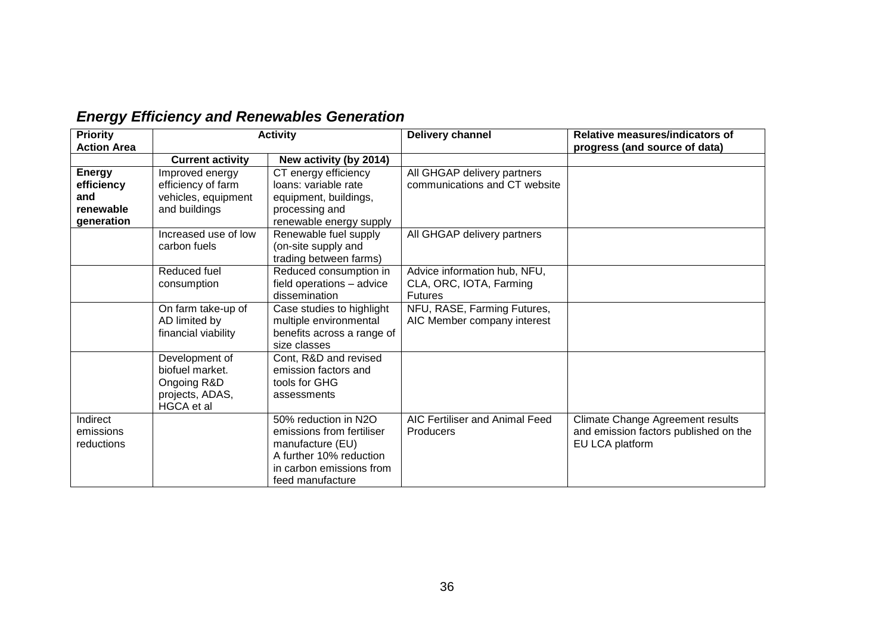| <b>Energy Efficiency and Renewables Generation</b> |  |  |
|----------------------------------------------------|--|--|
|----------------------------------------------------|--|--|

| <b>Priority</b>    | <b>Activity</b>         |                            | Delivery channel               | Relative measures/indicators of       |  |
|--------------------|-------------------------|----------------------------|--------------------------------|---------------------------------------|--|
| <b>Action Area</b> |                         |                            |                                | progress (and source of data)         |  |
|                    | <b>Current activity</b> | New activity (by 2014)     |                                |                                       |  |
| <b>Energy</b>      | Improved energy         | CT energy efficiency       | All GHGAP delivery partners    |                                       |  |
| efficiency         | efficiency of farm      | loans: variable rate       | communications and CT website  |                                       |  |
| and                | vehicles, equipment     | equipment, buildings,      |                                |                                       |  |
| renewable          | and buildings           | processing and             |                                |                                       |  |
| generation         |                         | renewable energy supply    |                                |                                       |  |
|                    | Increased use of low    | Renewable fuel supply      | All GHGAP delivery partners    |                                       |  |
|                    | carbon fuels            | (on-site supply and        |                                |                                       |  |
|                    |                         | trading between farms)     |                                |                                       |  |
|                    | Reduced fuel            | Reduced consumption in     | Advice information hub, NFU,   |                                       |  |
|                    | consumption             | field operations - advice  | CLA, ORC, IOTA, Farming        |                                       |  |
|                    |                         | dissemination              | <b>Futures</b>                 |                                       |  |
|                    | On farm take-up of      | Case studies to highlight  | NFU, RASE, Farming Futures,    |                                       |  |
|                    | AD limited by           | multiple environmental     | AIC Member company interest    |                                       |  |
|                    | financial viability     | benefits across a range of |                                |                                       |  |
|                    |                         | size classes               |                                |                                       |  |
|                    | Development of          | Cont, R&D and revised      |                                |                                       |  |
|                    | biofuel market.         | emission factors and       |                                |                                       |  |
|                    | Ongoing R&D             | tools for GHG              |                                |                                       |  |
|                    | projects, ADAS,         | assessments                |                                |                                       |  |
|                    | HGCA et al              |                            |                                |                                       |  |
| Indirect           |                         | 50% reduction in N2O       | AIC Fertiliser and Animal Feed | Climate Change Agreement results      |  |
| emissions          |                         | emissions from fertiliser  | <b>Producers</b>               | and emission factors published on the |  |
| reductions         |                         | manufacture (EU)           |                                | EU LCA platform                       |  |
|                    |                         | A further 10% reduction    |                                |                                       |  |
|                    |                         | in carbon emissions from   |                                |                                       |  |
|                    |                         | feed manufacture           |                                |                                       |  |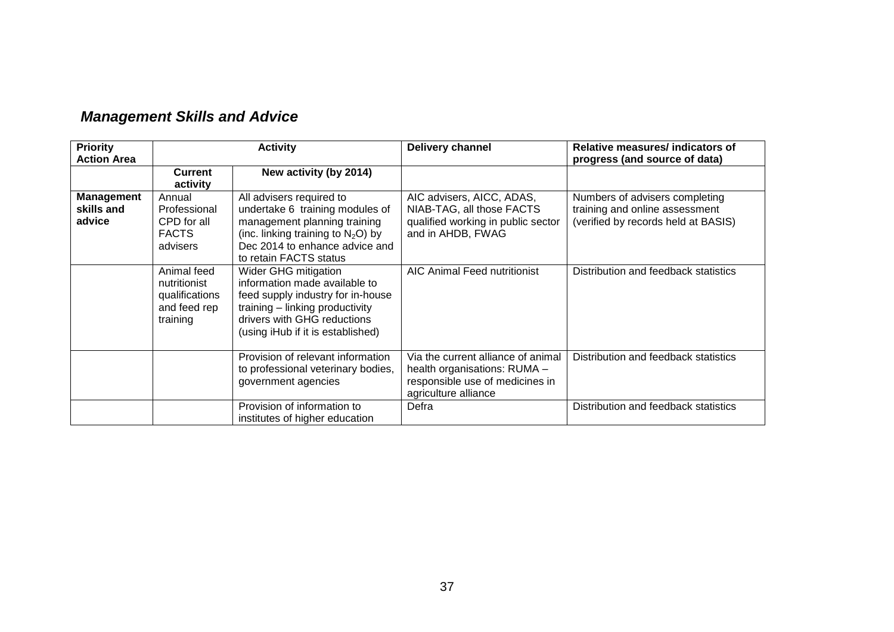| <b>Priority</b><br><b>Action Area</b>     | <b>Activity</b>                                                                                                                                                                                                                                                       |                                                                                                                                                                                                   | Delivery channel                                                                                                              | Relative measures/ indicators of<br>progress (and source of data)                                       |  |
|-------------------------------------------|-----------------------------------------------------------------------------------------------------------------------------------------------------------------------------------------------------------------------------------------------------------------------|---------------------------------------------------------------------------------------------------------------------------------------------------------------------------------------------------|-------------------------------------------------------------------------------------------------------------------------------|---------------------------------------------------------------------------------------------------------|--|
|                                           | <b>Current</b><br>activity                                                                                                                                                                                                                                            | New activity (by 2014)                                                                                                                                                                            |                                                                                                                               |                                                                                                         |  |
| <b>Management</b><br>skills and<br>advice | All advisers required to<br>Annual<br>undertake 6 training modules of<br>Professional<br>management planning training<br>CPD for all<br>(inc. linking training to $N_2O$ ) by<br><b>FACTS</b><br>Dec 2014 to enhance advice and<br>advisers<br>to retain FACTS status |                                                                                                                                                                                                   | AIC advisers, AICC, ADAS,<br>NIAB-TAG, all those FACTS<br>qualified working in public sector<br>and in AHDB, FWAG             | Numbers of advisers completing<br>training and online assessment<br>(verified by records held at BASIS) |  |
|                                           | Animal feed<br>nutritionist<br>qualifications<br>and feed rep<br>training                                                                                                                                                                                             | Wider GHG mitigation<br>information made available to<br>feed supply industry for in-house<br>training - linking productivity<br>drivers with GHG reductions<br>(using iHub if it is established) | <b>AIC Animal Feed nutritionist</b>                                                                                           | Distribution and feedback statistics                                                                    |  |
|                                           |                                                                                                                                                                                                                                                                       | Provision of relevant information<br>to professional veterinary bodies,<br>government agencies                                                                                                    | Via the current alliance of animal<br>health organisations: RUMA -<br>responsible use of medicines in<br>agriculture alliance | Distribution and feedback statistics                                                                    |  |
|                                           |                                                                                                                                                                                                                                                                       | Provision of information to<br>institutes of higher education                                                                                                                                     | Defra                                                                                                                         | Distribution and feedback statistics                                                                    |  |

## *Management Skills and Advice*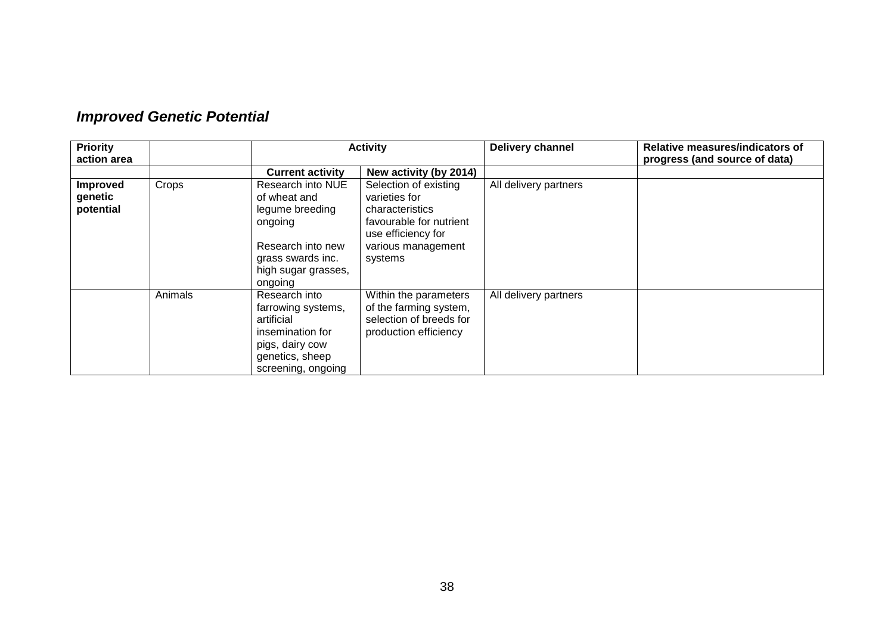| <b>Improved Genetic Potential</b> |  |  |
|-----------------------------------|--|--|
|-----------------------------------|--|--|

| <b>Priority</b><br>action area          |         | <b>Activity</b>                                                                                                                             |                                                                                                                                             | Delivery channel      | Relative measures/indicators of<br>progress (and source of data) |
|-----------------------------------------|---------|---------------------------------------------------------------------------------------------------------------------------------------------|---------------------------------------------------------------------------------------------------------------------------------------------|-----------------------|------------------------------------------------------------------|
|                                         |         | <b>Current activity</b>                                                                                                                     | New activity (by 2014)                                                                                                                      |                       |                                                                  |
| <b>Improved</b><br>genetic<br>potential | Crops   | Research into NUE<br>of wheat and<br>legume breeding<br>ongoing<br>Research into new<br>grass swards inc.<br>high sugar grasses,<br>ongoing | Selection of existing<br>varieties for<br>characteristics<br>favourable for nutrient<br>use efficiency for<br>various management<br>systems | All delivery partners |                                                                  |
|                                         | Animals | Research into<br>farrowing systems,<br>artificial<br>insemination for<br>pigs, dairy cow<br>genetics, sheep<br>screening, ongoing           | Within the parameters<br>of the farming system,<br>selection of breeds for<br>production efficiency                                         | All delivery partners |                                                                  |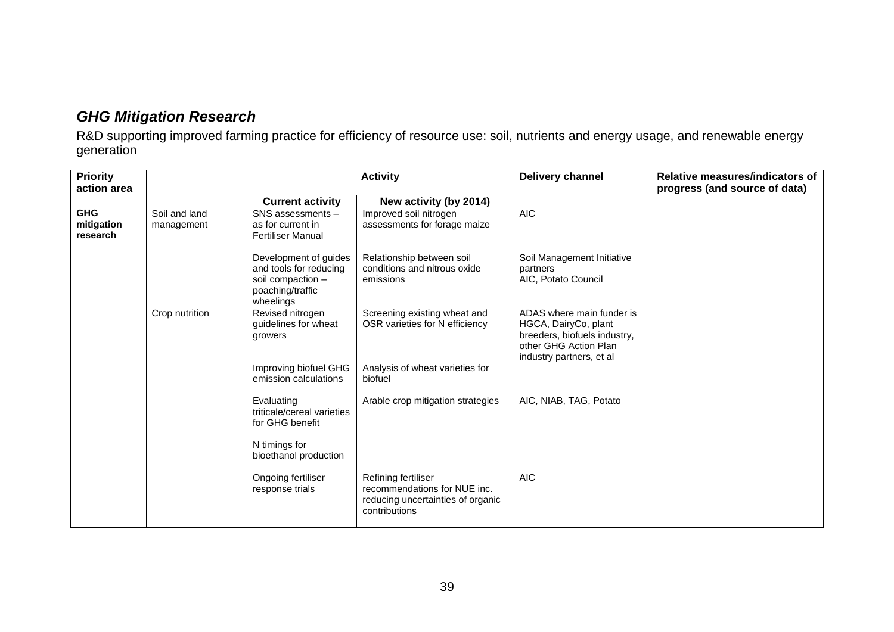## *GHG Mitigation Research*

R&D supporting improved farming practice for efficiency of resource use: soil, nutrients and energy usage, and renewable energy generation

| <b>Priority</b><br>action area       |                             | <b>Activity</b>                                                                                       |                                                                                                              | Delivery channel                                                                                                                       | Relative measures/indicators of<br>progress (and source of data) |
|--------------------------------------|-----------------------------|-------------------------------------------------------------------------------------------------------|--------------------------------------------------------------------------------------------------------------|----------------------------------------------------------------------------------------------------------------------------------------|------------------------------------------------------------------|
|                                      |                             | <b>Current activity</b>                                                                               | New activity (by 2014)                                                                                       |                                                                                                                                        |                                                                  |
| <b>GHG</b><br>mitigation<br>research | Soil and land<br>management | SNS assessments -<br>as for current in<br><b>Fertiliser Manual</b>                                    | Improved soil nitrogen<br>assessments for forage maize                                                       | <b>AIC</b>                                                                                                                             |                                                                  |
|                                      |                             | Development of guides<br>and tools for reducing<br>soil compaction -<br>poaching/traffic<br>wheelings | Relationship between soil<br>conditions and nitrous oxide<br>emissions                                       | Soil Management Initiative<br>partners<br>AIC, Potato Council                                                                          |                                                                  |
|                                      | Crop nutrition              | Revised nitrogen<br>guidelines for wheat<br>growers<br>Improving biofuel GHG<br>emission calculations | Screening existing wheat and<br>OSR varieties for N efficiency<br>Analysis of wheat varieties for<br>biofuel | ADAS where main funder is<br>HGCA, DairyCo, plant<br>breeders, biofuels industry,<br>other GHG Action Plan<br>industry partners, et al |                                                                  |
|                                      |                             | Evaluating<br>triticale/cereal varieties<br>for GHG benefit<br>N timings for<br>bioethanol production | Arable crop mitigation strategies                                                                            | AIC, NIAB, TAG, Potato                                                                                                                 |                                                                  |
|                                      |                             | Ongoing fertiliser<br>response trials                                                                 | Refining fertiliser<br>recommendations for NUE inc.<br>reducing uncertainties of organic<br>contributions    | <b>AIC</b>                                                                                                                             |                                                                  |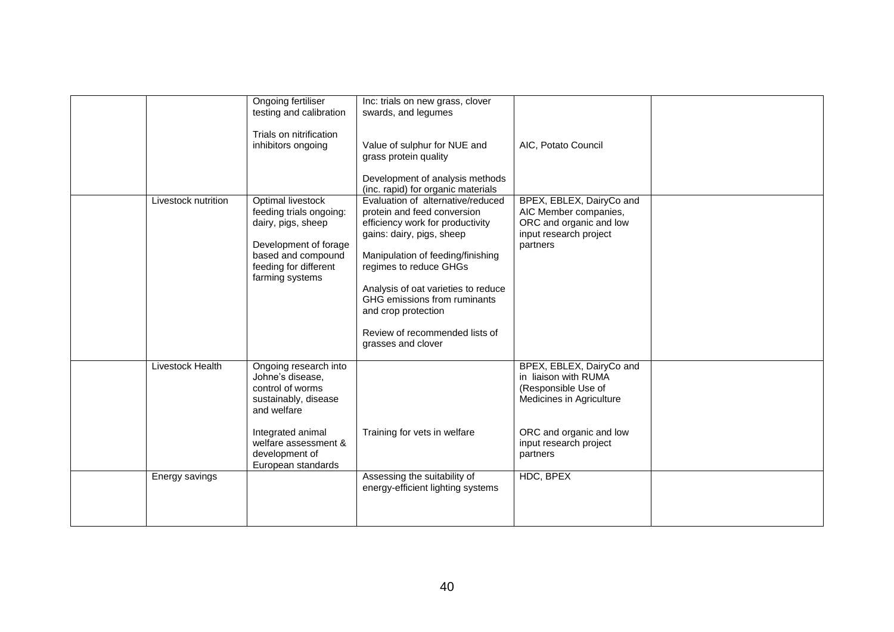|                     | Ongoing fertiliser<br>testing and calibration<br>Trials on nitrification<br>inhibitors ongoing                                                                                            | Inc: trials on new grass, clover<br>swards, and legumes<br>Value of sulphur for NUE and<br>grass protein quality<br>Development of analysis methods<br>(inc. rapid) for organic materials                                                                                                                                                              | AIC, Potato Council                                                                                                                                                  |  |
|---------------------|-------------------------------------------------------------------------------------------------------------------------------------------------------------------------------------------|--------------------------------------------------------------------------------------------------------------------------------------------------------------------------------------------------------------------------------------------------------------------------------------------------------------------------------------------------------|----------------------------------------------------------------------------------------------------------------------------------------------------------------------|--|
| Livestock nutrition | Optimal livestock<br>feeding trials ongoing:<br>dairy, pigs, sheep<br>Development of forage<br>based and compound<br>feeding for different<br>farming systems                             | Evaluation of alternative/reduced<br>protein and feed conversion<br>efficiency work for productivity<br>gains: dairy, pigs, sheep<br>Manipulation of feeding/finishing<br>regimes to reduce GHGs<br>Analysis of oat varieties to reduce<br>GHG emissions from ruminants<br>and crop protection<br>Review of recommended lists of<br>grasses and clover | BPEX, EBLEX, DairyCo and<br>AIC Member companies,<br>ORC and organic and low<br>input research project<br>partners                                                   |  |
| Livestock Health    | Ongoing research into<br>Johne's disease,<br>control of worms<br>sustainably, disease<br>and welfare<br>Integrated animal<br>welfare assessment &<br>development of<br>European standards | Training for vets in welfare                                                                                                                                                                                                                                                                                                                           | BPEX, EBLEX, DairyCo and<br>in liaison with RUMA<br>(Responsible Use of<br>Medicines in Agriculture<br>ORC and organic and low<br>input research project<br>partners |  |
| Energy savings      |                                                                                                                                                                                           | Assessing the suitability of<br>energy-efficient lighting systems                                                                                                                                                                                                                                                                                      | HDC, BPEX                                                                                                                                                            |  |